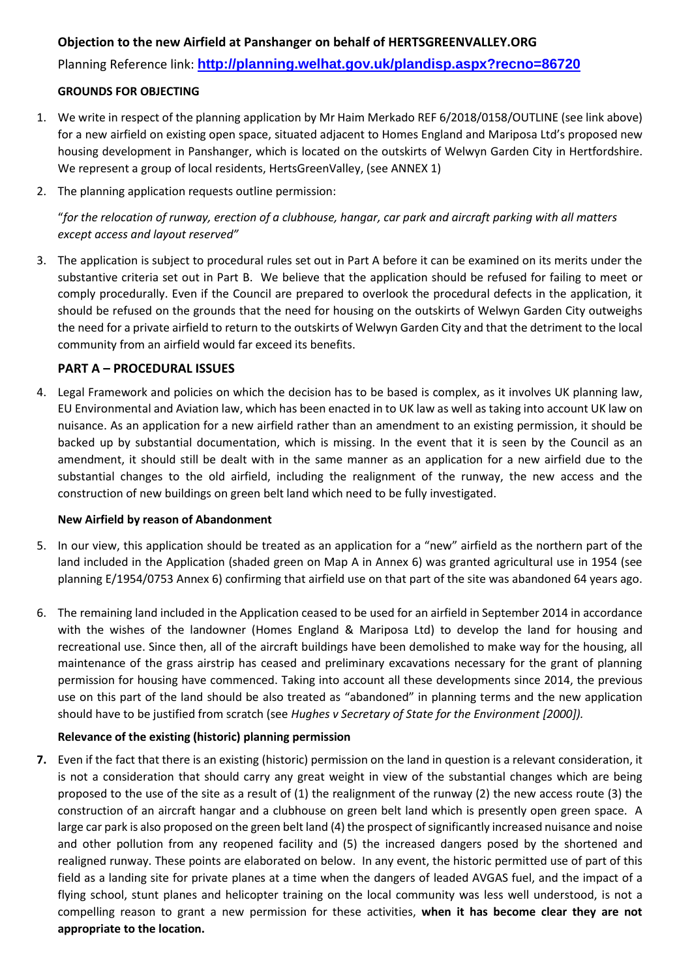# **Objection to the new Airfield at Panshanger on behalf of HERTSGREENVALLEY.ORG**

Planning Reference link: **<http://planning.welhat.gov.uk/plandisp.aspx?recno=86720>**

### **GROUNDS FOR OBJECTING**

- 1. We write in respect of the planning application by Mr Haim Merkado REF 6/2018/0158/OUTLINE (see link above) for a new airfield on existing open space, situated adjacent to Homes England and Mariposa Ltd's proposed new housing development in Panshanger, which is located on the outskirts of Welwyn Garden City in Hertfordshire. We represent a group of local residents, HertsGreenValley, (see ANNEX 1)
- 2. The planning application requests outline permission:

"*for the relocation of runway, erection of a clubhouse, hangar, car park and aircraft parking with all matters except access and layout reserved"*

3. The application is subject to procedural rules set out in Part A before it can be examined on its merits under the substantive criteria set out in Part B. We believe that the application should be refused for failing to meet or comply procedurally. Even if the Council are prepared to overlook the procedural defects in the application, it should be refused on the grounds that the need for housing on the outskirts of Welwyn Garden City outweighs the need for a private airfield to return to the outskirts of Welwyn Garden City and that the detriment to the local community from an airfield would far exceed its benefits.

# **PART A – PROCEDURAL ISSUES**

4. Legal Framework and policies on which the decision has to be based is complex, as it involves UK planning law, EU Environmental and Aviation law, which has been enacted in to UK law as well as taking into account UK law on nuisance. As an application for a new airfield rather than an amendment to an existing permission, it should be backed up by substantial documentation, which is missing. In the event that it is seen by the Council as an amendment, it should still be dealt with in the same manner as an application for a new airfield due to the substantial changes to the old airfield, including the realignment of the runway, the new access and the construction of new buildings on green belt land which need to be fully investigated.

# **New Airfield by reason of Abandonment**

- 5. In our view, this application should be treated as an application for a "new" airfield as the northern part of the land included in the Application (shaded green on Map A in Annex 6) was granted agricultural use in 1954 (see planning E/1954/0753 Annex 6) confirming that airfield use on that part of the site was abandoned 64 years ago.
- 6. The remaining land included in the Application ceased to be used for an airfield in September 2014 in accordance with the wishes of the landowner (Homes England & Mariposa Ltd) to develop the land for housing and recreational use. Since then, all of the aircraft buildings have been demolished to make way for the housing, all maintenance of the grass airstrip has ceased and preliminary excavations necessary for the grant of planning permission for housing have commenced. Taking into account all these developments since 2014, the previous use on this part of the land should be also treated as "abandoned" in planning terms and the new application should have to be justified from scratch (see *Hughes v Secretary of State for the Environment [2000]).*

# **Relevance of the existing (historic) planning permission**

**7.** Even if the fact that there is an existing (historic) permission on the land in question is a relevant consideration, it is not a consideration that should carry any great weight in view of the substantial changes which are being proposed to the use of the site as a result of (1) the realignment of the runway (2) the new access route (3) the construction of an aircraft hangar and a clubhouse on green belt land which is presently open green space. A large car park is also proposed on the green belt land (4) the prospect of significantly increased nuisance and noise and other pollution from any reopened facility and (5) the increased dangers posed by the shortened and realigned runway. These points are elaborated on below. In any event, the historic permitted use of part of this field as a landing site for private planes at a time when the dangers of leaded AVGAS fuel, and the impact of a flying school, stunt planes and helicopter training on the local community was less well understood, is not a compelling reason to grant a new permission for these activities, **when it has become clear they are not appropriate to the location.**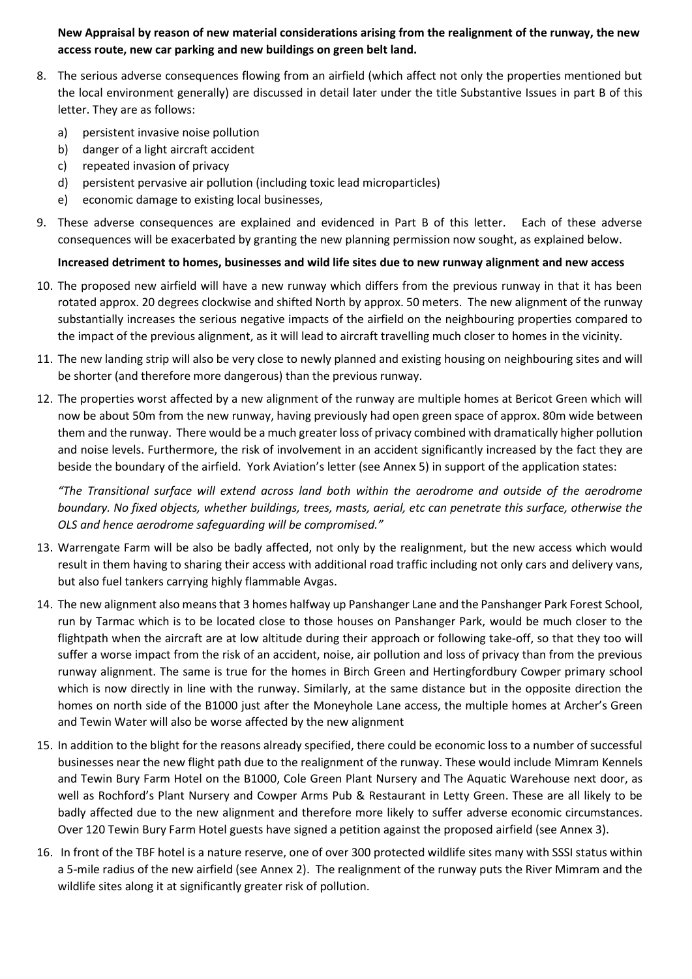**New Appraisal by reason of new material considerations arising from the realignment of the runway, the new access route, new car parking and new buildings on green belt land.**

- 8. The serious adverse consequences flowing from an airfield (which affect not only the properties mentioned but the local environment generally) are discussed in detail later under the title Substantive Issues in part B of this letter. They are as follows:
	- a) persistent invasive noise pollution
	- b) danger of a light aircraft accident
	- c) repeated invasion of privacy
	- d) persistent pervasive air pollution (including toxic lead microparticles)
	- e) economic damage to existing local businesses,
- 9. These adverse consequences are explained and evidenced in Part B of this letter. Each of these adverse consequences will be exacerbated by granting the new planning permission now sought, as explained below.

# **Increased detriment to homes, businesses and wild life sites due to new runway alignment and new access**

- 10. The proposed new airfield will have a new runway which differs from the previous runway in that it has been rotated approx. 20 degrees clockwise and shifted North by approx. 50 meters. The new alignment of the runway substantially increases the serious negative impacts of the airfield on the neighbouring properties compared to the impact of the previous alignment, as it will lead to aircraft travelling much closer to homes in the vicinity.
- 11. The new landing strip will also be very close to newly planned and existing housing on neighbouring sites and will be shorter (and therefore more dangerous) than the previous runway.
- 12. The properties worst affected by a new alignment of the runway are multiple homes at Bericot Green which will now be about 50m from the new runway, having previously had open green space of approx. 80m wide between them and the runway. There would be a much greater loss of privacy combined with dramatically higher pollution and noise levels. Furthermore, the risk of involvement in an accident significantly increased by the fact they are beside the boundary of the airfield. York Aviation's letter (see Annex 5) in support of the application states:

*"The Transitional surface will extend across land both within the aerodrome and outside of the aerodrome boundary. No fixed objects, whether buildings, trees, masts, aerial, etc can penetrate this surface, otherwise the OLS and hence aerodrome safeguarding will be compromised."* 

- 13. Warrengate Farm will be also be badly affected, not only by the realignment, but the new access which would result in them having to sharing their access with additional road traffic including not only cars and delivery vans, but also fuel tankers carrying highly flammable Avgas.
- 14. The new alignment also means that 3 homes halfway up Panshanger Lane and the Panshanger Park Forest School, run by Tarmac which is to be located close to those houses on Panshanger Park, would be much closer to the flightpath when the aircraft are at low altitude during their approach or following take-off, so that they too will suffer a worse impact from the risk of an accident, noise, air pollution and loss of privacy than from the previous runway alignment. The same is true for the homes in Birch Green and Hertingfordbury Cowper primary school which is now directly in line with the runway. Similarly, at the same distance but in the opposite direction the homes on north side of the B1000 just after the Moneyhole Lane access, the multiple homes at Archer's Green and Tewin Water will also be worse affected by the new alignment
- 15. In addition to the blight for the reasons already specified, there could be economic loss to a number of successful businesses near the new flight path due to the realignment of the runway. These would include Mimram Kennels and Tewin Bury Farm Hotel on the B1000, Cole Green Plant Nursery and The Aquatic Warehouse next door, as well as Rochford's Plant Nursery and Cowper Arms Pub & Restaurant in Letty Green. These are all likely to be badly affected due to the new alignment and therefore more likely to suffer adverse economic circumstances. Over 120 Tewin Bury Farm Hotel guests have signed a petition against the proposed airfield (see Annex 3).
- 16. In front of the TBF hotel is a nature reserve, one of over 300 protected wildlife sites many with SSSI status within a 5-mile radius of the new airfield (see Annex 2). The realignment of the runway puts the River Mimram and the wildlife sites along it at significantly greater risk of pollution.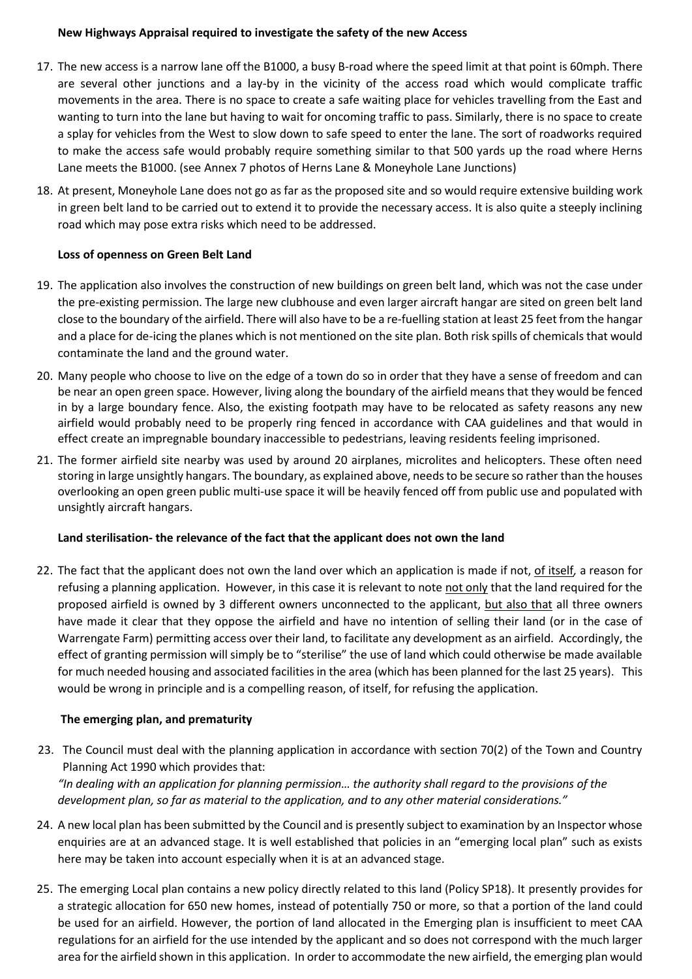### **New Highways Appraisal required to investigate the safety of the new Access**

- 17. The new access is a narrow lane off the B1000, a busy B-road where the speed limit at that point is 60mph. There are several other junctions and a lay-by in the vicinity of the access road which would complicate traffic movements in the area. There is no space to create a safe waiting place for vehicles travelling from the East and wanting to turn into the lane but having to wait for oncoming traffic to pass. Similarly, there is no space to create a splay for vehicles from the West to slow down to safe speed to enter the lane. The sort of roadworks required to make the access safe would probably require something similar to that 500 yards up the road where Herns Lane meets the B1000. (see Annex 7 photos of Herns Lane & Moneyhole Lane Junctions)
- 18. At present, Moneyhole Lane does not go as far as the proposed site and so would require extensive building work in green belt land to be carried out to extend it to provide the necessary access. It is also quite a steeply inclining road which may pose extra risks which need to be addressed.

# **Loss of openness on Green Belt Land**

- 19. The application also involves the construction of new buildings on green belt land, which was not the case under the pre-existing permission. The large new clubhouse and even larger aircraft hangar are sited on green belt land close to the boundary of the airfield. There will also have to be a re-fuelling station at least 25 feet from the hangar and a place for de-icing the planes which is not mentioned on the site plan. Both risk spills of chemicals that would contaminate the land and the ground water.
- 20. Many people who choose to live on the edge of a town do so in order that they have a sense of freedom and can be near an open green space. However, living along the boundary of the airfield means that they would be fenced in by a large boundary fence. Also, the existing footpath may have to be relocated as safety reasons any new airfield would probably need to be properly ring fenced in accordance with CAA guidelines and that would in effect create an impregnable boundary inaccessible to pedestrians, leaving residents feeling imprisoned.
- 21. The former airfield site nearby was used by around 20 airplanes, microlites and helicopters. These often need storing in large unsightly hangars. The boundary, as explained above, needs to be secure so rather than the houses overlooking an open green public multi-use space it will be heavily fenced off from public use and populated with unsightly aircraft hangars.

# **Land sterilisation- the relevance of the fact that the applicant does not own the land**

22. The fact that the applicant does not own the land over which an application is made if not, of itself*,* a reason for refusing a planning application. However, in this case it is relevant to note not only that the land required for the proposed airfield is owned by 3 different owners unconnected to the applicant, but also that all three owners have made it clear that they oppose the airfield and have no intention of selling their land (or in the case of Warrengate Farm) permitting access over their land, to facilitate any development as an airfield. Accordingly, the effect of granting permission will simply be to "sterilise" the use of land which could otherwise be made available for much needed housing and associated facilities in the area (which has been planned for the last 25 years). This would be wrong in principle and is a compelling reason, of itself, for refusing the application.

### **The emerging plan, and prematurity**

23. The Council must deal with the planning application in accordance with section 70(2) of the Town and Country Planning Act 1990 which provides that: *"In dealing with an application for planning permission… the authority shall regard to the provisions of the* 

*development plan, so far as material to the application, and to any other material considerations."* 

- 24. A new local plan has been submitted by the Council and is presently subject to examination by an Inspector whose enquiries are at an advanced stage. It is well established that policies in an "emerging local plan" such as exists here may be taken into account especially when it is at an advanced stage.
- 25. The emerging Local plan contains a new policy directly related to this land (Policy SP18). It presently provides for a strategic allocation for 650 new homes, instead of potentially 750 or more, so that a portion of the land could be used for an airfield. However, the portion of land allocated in the Emerging plan is insufficient to meet CAA regulations for an airfield for the use intended by the applicant and so does not correspond with the much larger area for the airfield shown in this application. In order to accommodate the new airfield, the emerging plan would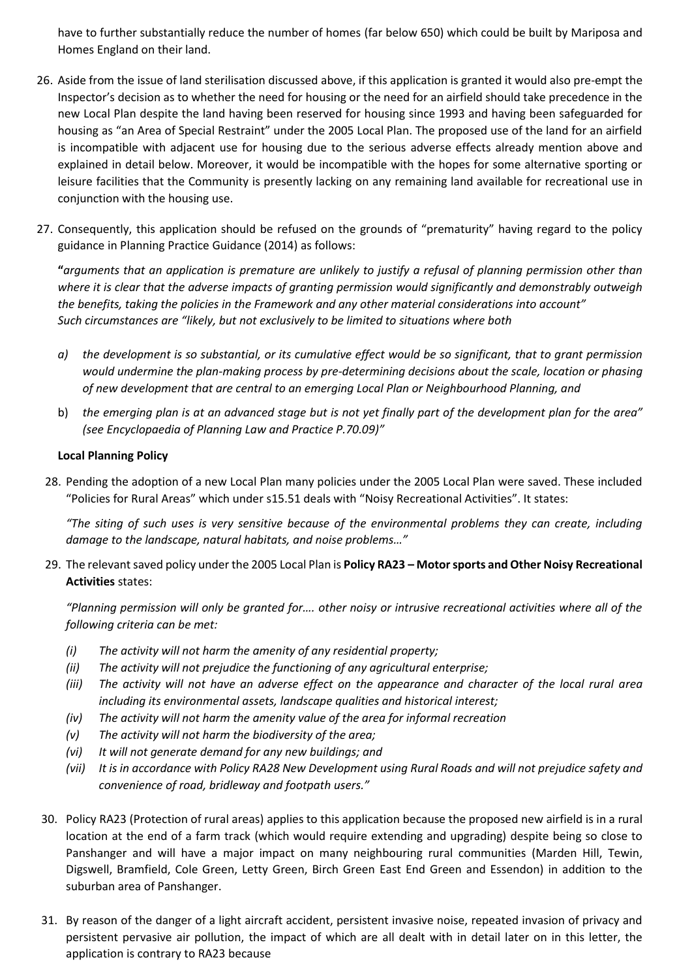have to further substantially reduce the number of homes (far below 650) which could be built by Mariposa and Homes England on their land.

- 26. Aside from the issue of land sterilisation discussed above, if this application is granted it would also pre-empt the Inspector's decision as to whether the need for housing or the need for an airfield should take precedence in the new Local Plan despite the land having been reserved for housing since 1993 and having been safeguarded for housing as "an Area of Special Restraint" under the 2005 Local Plan. The proposed use of the land for an airfield is incompatible with adjacent use for housing due to the serious adverse effects already mention above and explained in detail below. Moreover, it would be incompatible with the hopes for some alternative sporting or leisure facilities that the Community is presently lacking on any remaining land available for recreational use in conjunction with the housing use.
- 27. Consequently, this application should be refused on the grounds of "prematurity" having regard to the policy guidance in Planning Practice Guidance (2014) as follows:

**"***arguments that an application is premature are unlikely to justify a refusal of planning permission other than where it is clear that the adverse impacts of granting permission would significantly and demonstrably outweigh the benefits, taking the policies in the Framework and any other material considerations into account" Such circumstances are "likely, but not exclusively to be limited to situations where both* 

- *a) the development is so substantial, or its cumulative effect would be so significant, that to grant permission would undermine the plan-making process by pre-determining decisions about the scale, location or phasing of new development that are central to an emerging Local Plan or Neighbourhood Planning, and*
- b) *the emerging plan is at an advanced stage but is not yet finally part of the development plan for the area" (see Encyclopaedia of Planning Law and Practice P.70.09)"*

### **Local Planning Policy**

28. Pending the adoption of a new Local Plan many policies under the 2005 Local Plan were saved. These included "Policies for Rural Areas" which under s15.51 deals with "Noisy Recreational Activities". It states:

*"The siting of such uses is very sensitive because of the environmental problems they can create, including damage to the landscape, natural habitats, and noise problems…"*

29. The relevant saved policy under the 2005 Local Plan is **Policy RA23 – Motor sports and Other Noisy Recreational Activities** states:

*"Planning permission will only be granted for…. other noisy or intrusive recreational activities where all of the following criteria can be met:*

- *(i) The activity will not harm the amenity of any residential property;*
- *(ii) The activity will not prejudice the functioning of any agricultural enterprise;*
- *(iii) The activity will not have an adverse effect on the appearance and character of the local rural area including its environmental assets, landscape qualities and historical interest;*
- *(iv) The activity will not harm the amenity value of the area for informal recreation*
- *(v) The activity will not harm the biodiversity of the area;*
- *(vi) It will not generate demand for any new buildings; and*
- *(vii) It is in accordance with Policy RA28 New Development using Rural Roads and will not prejudice safety and convenience of road, bridleway and footpath users."*
- 30. Policy RA23 (Protection of rural areas) applies to this application because the proposed new airfield is in a rural location at the end of a farm track (which would require extending and upgrading) despite being so close to Panshanger and will have a major impact on many neighbouring rural communities (Marden Hill, Tewin, Digswell, Bramfield, Cole Green, Letty Green, Birch Green East End Green and Essendon) in addition to the suburban area of Panshanger.
- 31. By reason of the danger of a light aircraft accident, persistent invasive noise, repeated invasion of privacy and persistent pervasive air pollution, the impact of which are all dealt with in detail later on in this letter, the application is contrary to RA23 because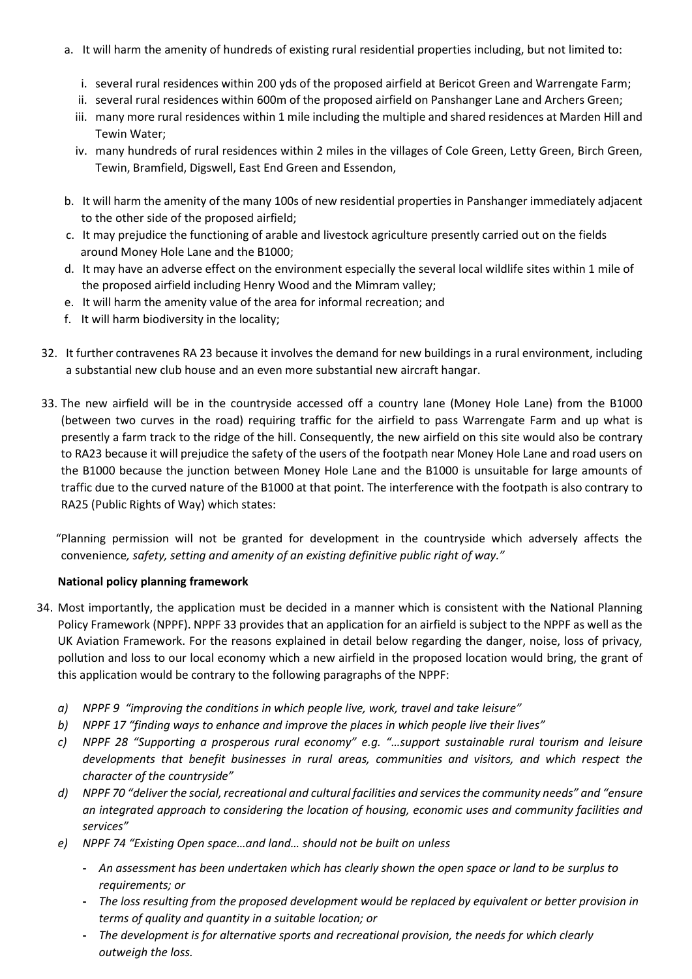- a. It will harm the amenity of hundreds of existing rural residential properties including, but not limited to:
	- i. several rural residences within 200 yds of the proposed airfield at Bericot Green and Warrengate Farm;
	- ii. several rural residences within 600m of the proposed airfield on Panshanger Lane and Archers Green;
	- iii. many more rural residences within 1 mile including the multiple and shared residences at Marden Hill and Tewin Water;
	- iv. many hundreds of rural residences within 2 miles in the villages of Cole Green, Letty Green, Birch Green, Tewin, Bramfield, Digswell, East End Green and Essendon,
- b. It will harm the amenity of the many 100s of new residential properties in Panshanger immediately adjacent to the other side of the proposed airfield;
- c. It may prejudice the functioning of arable and livestock agriculture presently carried out on the fields around Money Hole Lane and the B1000;
- d. It may have an adverse effect on the environment especially the several local wildlife sites within 1 mile of the proposed airfield including Henry Wood and the Mimram valley;
- e. It will harm the amenity value of the area for informal recreation; and
- f. It will harm biodiversity in the locality;
- 32. It further contravenes RA 23 because it involves the demand for new buildings in a rural environment, including a substantial new club house and an even more substantial new aircraft hangar.
- 33. The new airfield will be in the countryside accessed off a country lane (Money Hole Lane) from the B1000 (between two curves in the road) requiring traffic for the airfield to pass Warrengate Farm and up what is presently a farm track to the ridge of the hill. Consequently, the new airfield on this site would also be contrary to RA23 because it will prejudice the safety of the users of the footpath near Money Hole Lane and road users on the B1000 because the junction between Money Hole Lane and the B1000 is unsuitable for large amounts of traffic due to the curved nature of the B1000 at that point. The interference with the footpath is also contrary to RA25 (Public Rights of Way) which states:

"Planning permission will not be granted for development in the countryside which adversely affects the convenience*, safety, setting and amenity of an existing definitive public right of way."*

# **National policy planning framework**

- 34. Most importantly, the application must be decided in a manner which is consistent with the National Planning Policy Framework (NPPF). NPPF 33 provides that an application for an airfield is subject to the NPPF as well as the UK Aviation Framework. For the reasons explained in detail below regarding the danger, noise, loss of privacy, pollution and loss to our local economy which a new airfield in the proposed location would bring, the grant of this application would be contrary to the following paragraphs of the NPPF:
	- *a) NPPF 9 "improving the conditions in which people live, work, travel and take leisure"*
	- *b) NPPF 17 "finding ways to enhance and improve the places in which people live their lives"*
	- *c) NPPF 28 "Supporting a prosperous rural economy" e.g. "…support sustainable rural tourism and leisure developments that benefit businesses in rural areas, communities and visitors, and which respect the character of the countryside"*
	- *d) NPPF 70 "deliver the social, recreational and cultural facilities and services the community needs" and "ensure an integrated approach to considering the location of housing, economic uses and community facilities and services"*
	- *e) NPPF 74 "Existing Open space…and land… should not be built on unless*
		- **-** *An assessment has been undertaken which has clearly shown the open space or land to be surplus to requirements; or*
		- **-** *The loss resulting from the proposed development would be replaced by equivalent or better provision in terms of quality and quantity in a suitable location; or*
		- **-** *The development is for alternative sports and recreational provision, the needs for which clearly outweigh the loss.*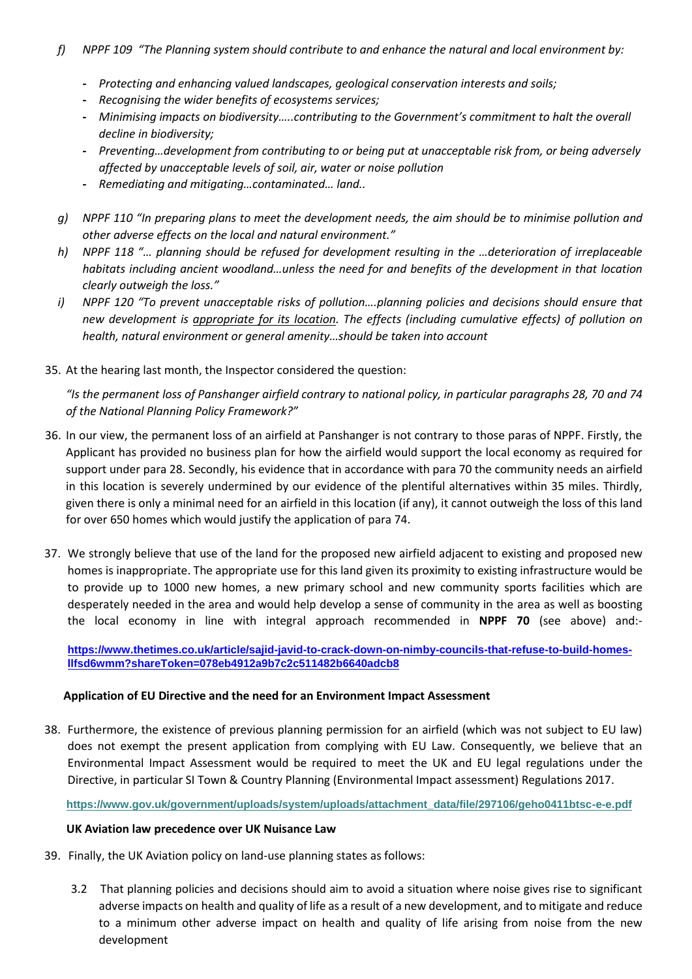- *f) NPPF 109 "The Planning system should contribute to and enhance the natural and local environment by:*
	- **-** *Protecting and enhancing valued landscapes, geological conservation interests and soils;*
	- **-** *Recognising the wider benefits of ecosystems services;*
	- **-** *Minimising impacts on biodiversity…..contributing to the Government's commitment to halt the overall decline in biodiversity;*
	- **-** *Preventing…development from contributing to or being put at unacceptable risk from, or being adversely affected by unacceptable levels of soil, air, water or noise pollution*
	- **-** *Remediating and mitigating…contaminated… land..*
- *g) NPPF 110 "In preparing plans to meet the development needs, the aim should be to minimise pollution and other adverse effects on the local and natural environment."*
- *h) NPPF 118 "… planning should be refused for development resulting in the …deterioration of irreplaceable habitats including ancient woodland…unless the need for and benefits of the development in that location clearly outweigh the loss."*
- *i) NPPF 120 "To prevent unacceptable risks of pollution….planning policies and decisions should ensure that new development is appropriate for its location. The effects (including cumulative effects) of pollution on health, natural environment or general amenity…should be taken into account*
- 35. At the hearing last month, the Inspector considered the question:

"Is the permanent loss of Panshanger airfield contrary to national policy, in particular paragraphs 28, 70 and 74 *of the National Planning Policy Framework?"*

- 36. In our view, the permanent loss of an airfield at Panshanger is not contrary to those paras of NPPF. Firstly, the Applicant has provided no business plan for how the airfield would support the local economy as required for support under para 28. Secondly, his evidence that in accordance with para 70 the community needs an airfield in this location is severely undermined by our evidence of the plentiful alternatives within 35 miles. Thirdly, given there is only a minimal need for an airfield in this location (if any), it cannot outweigh the loss of this land for over 650 homes which would justify the application of para 74.
- 37. We strongly believe that use of the land for the proposed new airfield adjacent to existing and proposed new homes is inappropriate. The appropriate use for this land given its proximity to existing infrastructure would be to provide up to 1000 new homes, a new primary school and new community sports facilities which are desperately needed in the area and would help develop a sense of community in the area as well as boosting the local economy in line with integral approach recommended in **NPPF 70** (see above) and:-

**[https://www.thetimes.co.uk/article/sajid-javid-to-crack-down-on-nimby-councils-that-refuse-to-build-homes](https://www.thetimes.co.uk/article/sajid-javid-to-crack-down-on-nimby-councils-that-refuse-to-build-homes-llfsd6wmm?shareToken=078eb4912a9b7c2c511482b6640adcb8)[llfsd6wmm?shareToken=078eb4912a9b7c2c511482b6640adcb8](https://www.thetimes.co.uk/article/sajid-javid-to-crack-down-on-nimby-councils-that-refuse-to-build-homes-llfsd6wmm?shareToken=078eb4912a9b7c2c511482b6640adcb8)**

### **Application of EU Directive and the need for an Environment Impact Assessment**

38. Furthermore, the existence of previous planning permission for an airfield (which was not subject to EU law) does not exempt the present application from complying with EU Law. Consequently, we believe that an Environmental Impact Assessment would be required to meet the UK and EU legal regulations under the Directive, in particular SI Town & Country Planning (Environmental Impact assessment) Regulations 2017.

**[https://www.gov.uk/government/uploads/system/uploads/attachment\\_data/file/297106/geho0411btsc-e-e.pdf](https://www.gov.uk/government/uploads/system/uploads/attachment_data/file/297106/geho0411btsc-e-e.pdf)**

### **UK Aviation law precedence over UK Nuisance Law**

- 39. Finally, the UK Aviation policy on land-use planning states as follows:
	- 3.2 That planning policies and decisions should aim to avoid a situation where noise gives rise to significant adverse impacts on health and quality of life as a result of a new development, and to mitigate and reduce to a minimum other adverse impact on health and quality of life arising from noise from the new development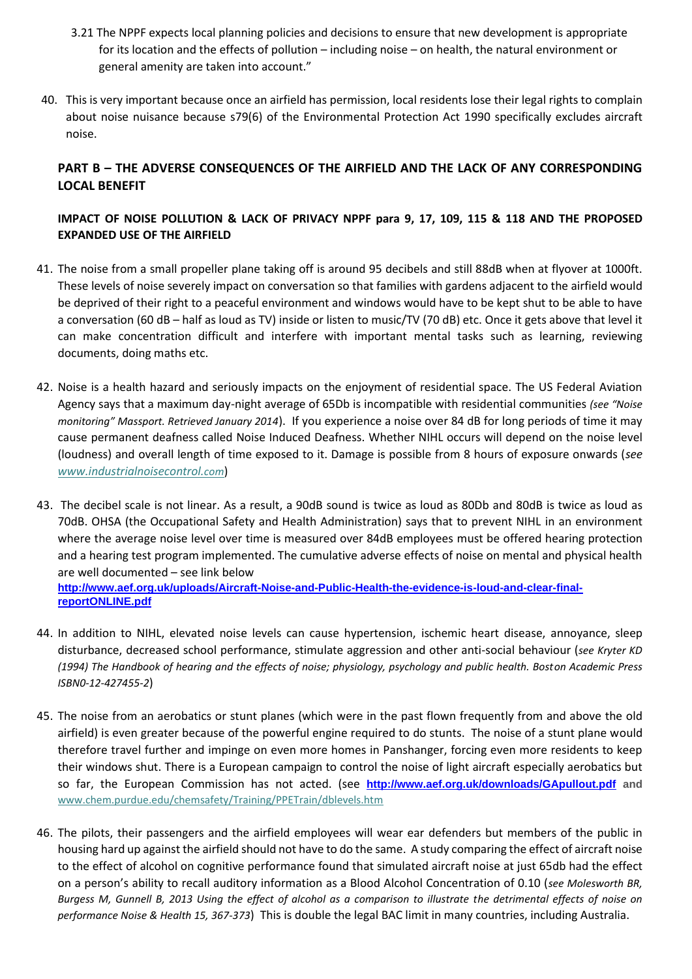- 3.21 The NPPF expects local planning policies and decisions to ensure that new development is appropriate for its location and the effects of pollution – including noise – on health, the natural environment or general amenity are taken into account."
- 40. This is very important because once an airfield has permission, local residents lose their legal rights to complain about noise nuisance because s79(6) of the Environmental Protection Act 1990 specifically excludes aircraft noise.

# **PART B – THE ADVERSE CONSEQUENCES OF THE AIRFIELD AND THE LACK OF ANY CORRESPONDING LOCAL BENEFIT**

# **IMPACT OF NOISE POLLUTION & LACK OF PRIVACY NPPF para 9, 17, 109, 115 & 118 AND THE PROPOSED EXPANDED USE OF THE AIRFIELD**

- 41. The noise from a small propeller plane taking off is around 95 decibels and still 88dB when at flyover at 1000ft. These levels of noise severely impact on conversation so that families with gardens adjacent to the airfield would be deprived of their right to a peaceful environment and windows would have to be kept shut to be able to have a conversation (60 dB – half as loud as TV) inside or listen to music/TV (70 dB) etc. Once it gets above that level it can make concentration difficult and interfere with important mental tasks such as learning, reviewing documents, doing maths etc.
- 42. Noise is a health hazard and seriously impacts on the enjoyment of residential space. The US Federal Aviation Agency says that a maximum day-night average of 65Db is incompatible with residential communities *(see "Noise monitoring" Massport. Retrieved January 2014*). If you experience a noise over 84 dB for long periods of time it may cause permanent deafness called Noise Induced Deafness. Whether NIHL occurs will depend on the noise level (loudness) and overall length of time exposed to it. Damage is possible from 8 hours of exposure onwards (*see [www.industrialnoisecontrol.](http://www.industrialnoisecontrol.com/)com*)
- 43. The decibel scale is not linear. As a result, a 90dB sound is twice as loud as 80Db and 80dB is twice as loud as 70dB. OHSA (the Occupational Safety and Health Administration) says that to prevent NIHL in an environment where the average noise level over time is measured over 84dB employees must be offered hearing protection and a hearing test program implemented. The cumulative adverse effects of noise on mental and physical health are well documented – see link below **[http://www.aef.org.uk/uploads/Aircraft-Noise-and-Public-Health-the-evidence-is-loud-and-clear-final](http://www.aef.org.uk/uploads/Aircraft-Noise-and-Public-Health-the-evidence-is-loud-and-clear-final-reportONLINE.pdf)[reportONLINE.pdf](http://www.aef.org.uk/uploads/Aircraft-Noise-and-Public-Health-the-evidence-is-loud-and-clear-final-reportONLINE.pdf)**
- 44. In addition to NIHL, elevated noise levels can cause hypertension, ischemic heart disease, annoyance, sleep disturbance, decreased school performance, stimulate aggression and other anti-social behaviour (*see Kryter KD (1994) The Handbook of hearing and the effects of noise; physiology, psychology and public health. Boston Academic Press ISBN0-12-427455-2*)
- 45. The noise from an aerobatics or stunt planes (which were in the past flown frequently from and above the old airfield) is even greater because of the powerful engine required to do stunts. The noise of a stunt plane would therefore travel further and impinge on even more homes in Panshanger, forcing even more residents to keep their windows shut. There is a European campaign to control the noise of light aircraft especially aerobatics but so far, the European Commission has not acted. (see **<http://www.aef.org.uk/downloads/GApullout.pdf> and**  www.chem.purdue.edu/chemsafety/Training/PPETrain/dblevels.htm
- 46. The pilots, their passengers and the airfield employees will wear ear defenders but members of the public in housing hard up against the airfield should not have to do the same. A study comparing the effect of aircraft noise to the effect of alcohol on cognitive performance found that simulated aircraft noise at just 65db had the effect on a person's ability to recall auditory information as a Blood Alcohol Concentration of 0.10 (*see Molesworth BR, Burgess M, Gunnell B, 2013 Using the effect of alcohol as a comparison to illustrate the detrimental effects of noise on performance Noise & Health 15, 367-373*) This is double the legal BAC limit in many countries, including Australia.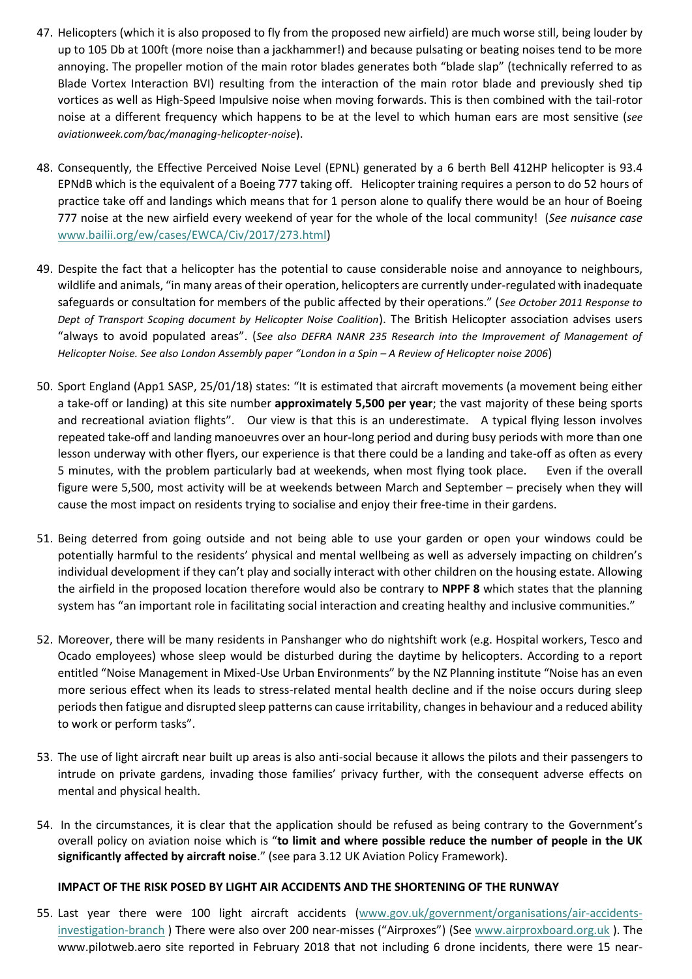- 47. Helicopters (which it is also proposed to fly from the proposed new airfield) are much worse still, being louder by up to 105 Db at 100ft (more noise than a jackhammer!) and because pulsating or beating noises tend to be more annoying. The propeller motion of the main rotor blades generates both "blade slap" (technically referred to as Blade Vortex Interaction BVI) resulting from the interaction of the main rotor blade and previously shed tip vortices as well as High-Speed Impulsive noise when moving forwards. This is then combined with the tail-rotor noise at a different frequency which happens to be at the level to which human ears are most sensitive (*see aviationweek.com/bac/managing-helicopter-noise*).
- 48. Consequently, the Effective Perceived Noise Level (EPNL) generated by a 6 berth Bell 412HP helicopter is 93.4 EPNdB which is the equivalent of a Boeing 777 taking off. Helicopter training requires a person to do 52 hours of practice take off and landings which means that for 1 person alone to qualify there would be an hour of Boeing 777 noise at the new airfield every weekend of year for the whole of the local community! (*See nuisance case*  [www.bailii.org/ew/cases/EWCA/Civ/2017/273.html\)](http://www.bailii.org/ew/cases/EWCA/Civ/2017/273.html)
- 49. Despite the fact that a helicopter has the potential to cause considerable noise and annoyance to neighbours, wildlife and animals, "in many areas of their operation, helicopters are currently under-regulated with inadequate safeguards or consultation for members of the public affected by their operations." (*See October 2011 Response to Dept of Transport Scoping document by Helicopter Noise Coalition*). The British Helicopter association advises users "always to avoid populated areas". (*See also DEFRA NANR 235 Research into the Improvement of Management of Helicopter Noise. See also London Assembly paper "London in a Spin – A Review of Helicopter noise 2006*)
- 50. Sport England (App1 SASP, 25/01/18) states: "It is estimated that aircraft movements (a movement being either a take-off or landing) at this site number **approximately 5,500 per year**; the vast majority of these being sports and recreational aviation flights". Our view is that this is an underestimate. A typical flying lesson involves repeated take-off and landing manoeuvres over an hour-long period and during busy periods with more than one lesson underway with other flyers, our experience is that there could be a landing and take-off as often as every 5 minutes, with the problem particularly bad at weekends, when most flying took place. Even if the overall figure were 5,500, most activity will be at weekends between March and September – precisely when they will cause the most impact on residents trying to socialise and enjoy their free-time in their gardens.
- 51. Being deterred from going outside and not being able to use your garden or open your windows could be potentially harmful to the residents' physical and mental wellbeing as well as adversely impacting on children's individual development if they can't play and socially interact with other children on the housing estate. Allowing the airfield in the proposed location therefore would also be contrary to **NPPF 8** which states that the planning system has "an important role in facilitating social interaction and creating healthy and inclusive communities."
- 52. Moreover, there will be many residents in Panshanger who do nightshift work (e.g. Hospital workers, Tesco and Ocado employees) whose sleep would be disturbed during the daytime by helicopters. According to a report entitled "Noise Management in Mixed-Use Urban Environments" by the NZ Planning institute "Noise has an even more serious effect when its leads to stress-related mental health decline and if the noise occurs during sleep periods then fatigue and disrupted sleep patterns can cause irritability, changes in behaviour and a reduced ability to work or perform tasks".
- 53. The use of light aircraft near built up areas is also anti-social because it allows the pilots and their passengers to intrude on private gardens, invading those families' privacy further, with the consequent adverse effects on mental and physical health.
- 54. In the circumstances, it is clear that the application should be refused as being contrary to the Government's overall policy on aviation noise which is "**to limit and where possible reduce the number of people in the UK significantly affected by aircraft noise**." (see para 3.12 UK Aviation Policy Framework).

### **IMPACT OF THE RISK POSED BY LIGHT AIR ACCIDENTS AND THE SHORTENING OF THE RUNWAY**

55. Last year there were 100 light aircraft accidents [\(www.gov.uk/government/organisations/air-accidents](http://www.gov.uk/government/organisations/air-accidents-investigation-branch)[investigation-branch](http://www.gov.uk/government/organisations/air-accidents-investigation-branch) ) There were also over 200 near-misses ("Airproxes") (See [www.airproxboard.org.uk](http://www.airproxboard.org.uk/) ). The www.pilotweb.aero site reported in February 2018 that not including 6 drone incidents, there were 15 near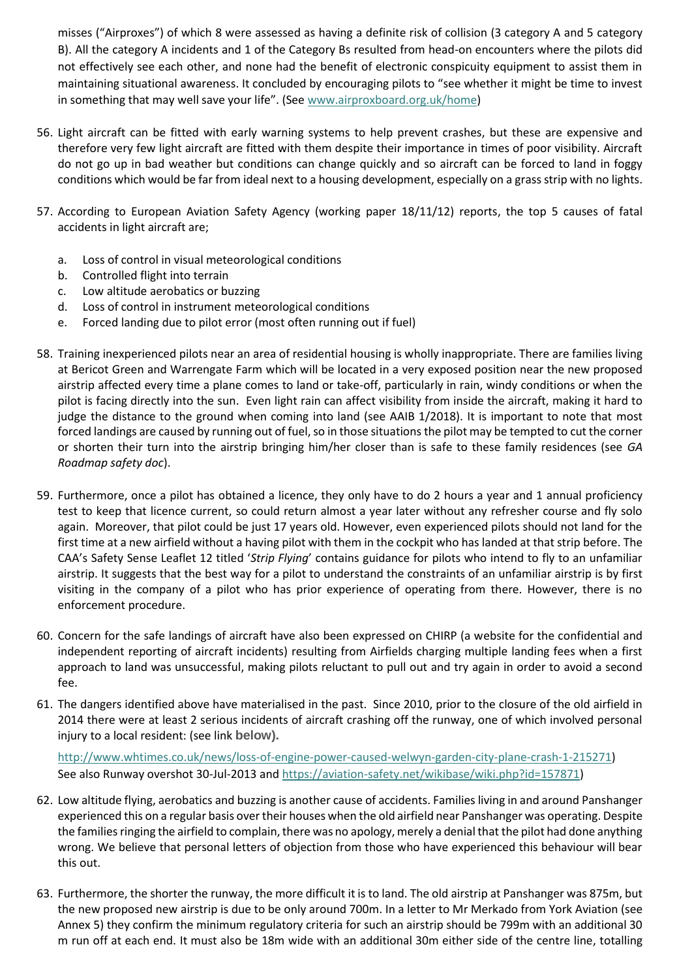misses ("Airproxes") of which 8 were assessed as having a definite risk of collision (3 category A and 5 category B). All the category A incidents and 1 of the Category Bs resulted from head-on encounters where the pilots did not effectively see each other, and none had the benefit of electronic conspicuity equipment to assist them in maintaining situational awareness. It concluded by encouraging pilots to "see whether it might be time to invest in something that may well save your life". (See [www.airproxboard.org.uk/home\)](http://www.airproxboard.org.uk/home)

- 56. Light aircraft can be fitted with early warning systems to help prevent crashes, but these are expensive and therefore very few light aircraft are fitted with them despite their importance in times of poor visibility. Aircraft do not go up in bad weather but conditions can change quickly and so aircraft can be forced to land in foggy conditions which would be far from ideal next to a housing development, especially on a grass strip with no lights.
- 57. According to European Aviation Safety Agency (working paper 18/11/12) reports, the top 5 causes of fatal accidents in light aircraft are;
	- a. Loss of control in visual meteorological conditions
	- b. Controlled flight into terrain
	- c. Low altitude aerobatics or buzzing
	- d. Loss of control in instrument meteorological conditions
	- e. Forced landing due to pilot error (most often running out if fuel)
- 58. Training inexperienced pilots near an area of residential housing is wholly inappropriate. There are families living at Bericot Green and Warrengate Farm which will be located in a very exposed position near the new proposed airstrip affected every time a plane comes to land or take-off, particularly in rain, windy conditions or when the pilot is facing directly into the sun. Even light rain can affect visibility from inside the aircraft, making it hard to judge the distance to the ground when coming into land (see AAIB 1/2018). It is important to note that most forced landings are caused by running out of fuel, so in those situations the pilot may be tempted to cut the corner or shorten their turn into the airstrip bringing him/her closer than is safe to these family residences (see *GA Roadmap safety doc*).
- 59. Furthermore, once a pilot has obtained a licence, they only have to do 2 hours a year and 1 annual proficiency test to keep that licence current, so could return almost a year later without any refresher course and fly solo again. Moreover, that pilot could be just 17 years old. However, even experienced pilots should not land for the first time at a new airfield without a having pilot with them in the cockpit who has landed at that strip before. The CAA's Safety Sense Leaflet 12 titled '*Strip Flying*' contains guidance for pilots who intend to fly to an unfamiliar airstrip. It suggests that the best way for a pilot to understand the constraints of an unfamiliar airstrip is by first visiting in the company of a pilot who has prior experience of operating from there. However, there is no enforcement procedure.
- 60. Concern for the safe landings of aircraft have also been expressed on CHIRP (a website for the confidential and independent reporting of aircraft incidents) resulting from Airfields charging multiple landing fees when a first approach to land was unsuccessful, making pilots reluctant to pull out and try again in order to avoid a second fee.
- 61. The dangers identified above have materialised in the past. Since 2010, prior to the closure of the old airfield in 2014 there were at least 2 serious incidents of aircraft crashing off the runway, one of which involved personal injury to a local resident: (see link **below).**

[http://www.whtimes.co.uk/news/loss-of-engine-power-caused-welwyn-garden-city-plane-crash-1-215271\)](http://www.whtimes.co.uk/news/loss-of-engine-power-caused-welwyn-garden-city-plane-crash-1-215271) See also Runway overshot 30-Jul-2013 an[d https://aviation-safety.net/wikibase/wiki.php?id=157871\)](https://aviation-safety.net/wikibase/wiki.php?id=157871)

- 62. Low altitude flying, aerobatics and buzzing is another cause of accidents. Families living in and around Panshanger experienced this on a regular basis over their houses when the old airfield near Panshanger was operating. Despite the families ringing the airfield to complain, there was no apology, merely a denial that the pilot had done anything wrong. We believe that personal letters of objection from those who have experienced this behaviour will bear this out.
- 63. Furthermore, the shorter the runway, the more difficult it is to land. The old airstrip at Panshanger was 875m, but the new proposed new airstrip is due to be only around 700m. In a letter to Mr Merkado from York Aviation (see Annex 5) they confirm the minimum regulatory criteria for such an airstrip should be 799m with an additional 30 m run off at each end. It must also be 18m wide with an additional 30m either side of the centre line, totalling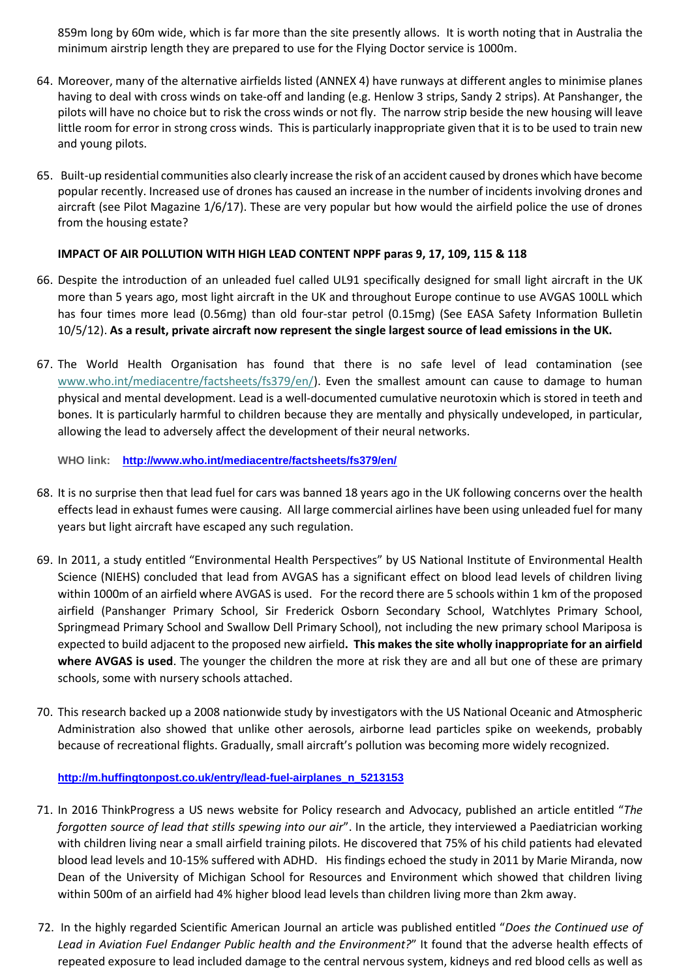859m long by 60m wide, which is far more than the site presently allows. It is worth noting that in Australia the minimum airstrip length they are prepared to use for the Flying Doctor service is 1000m.

- 64. Moreover, many of the alternative airfields listed (ANNEX 4) have runways at different angles to minimise planes having to deal with cross winds on take-off and landing (e.g. Henlow 3 strips, Sandy 2 strips). At Panshanger, the pilots will have no choice but to risk the cross winds or not fly. The narrow strip beside the new housing will leave little room for error in strong cross winds. This is particularly inappropriate given that it is to be used to train new and young pilots.
- 65. Built-up residential communities also clearly increase the risk of an accident caused by drones which have become popular recently. Increased use of drones has caused an increase in the number of incidents involving drones and aircraft (see Pilot Magazine 1/6/17). These are very popular but how would the airfield police the use of drones from the housing estate?

### **IMPACT OF AIR POLLUTION WITH HIGH LEAD CONTENT NPPF paras 9, 17, 109, 115 & 118**

- 66. Despite the introduction of an unleaded fuel called UL91 specifically designed for small light aircraft in the UK more than 5 years ago, most light aircraft in the UK and throughout Europe continue to use AVGAS 100LL which has four times more lead (0.56mg) than old four-star petrol (0.15mg) (See EASA Safety Information Bulletin 10/5/12). **As a result, private aircraft now represent the single largest source of lead emissions in the UK.**
- 67. The World Health Organisation has found that there is no safe level of lead contamination (see [www.who.int/mediacentre/factsheets/fs379/en/\)](http://www.who.int/mediacentre/factsheets/fs379/en/). Even the smallest amount can cause to damage to human physical and mental development. Lead is a well-documented cumulative neurotoxin which is stored in teeth and bones. It is particularly harmful to children because they are mentally and physically undeveloped, in particular, allowing the lead to adversely affect the development of their neural networks.

**WHO link: <http://www.who.int/mediacentre/factsheets/fs379/en/>**

- 68. It is no surprise then that lead fuel for cars was banned 18 years ago in the UK following concerns over the health effects lead in exhaust fumes were causing. All large commercial airlines have been using unleaded fuel for many years but light aircraft have escaped any such regulation.
- 69. In 2011, a study entitled "Environmental Health Perspectives" by US National Institute of Environmental Health Science (NIEHS) concluded that lead from AVGAS has a significant effect on blood lead levels of children living within 1000m of an airfield where AVGAS is used. For the record there are 5 schools within 1 km of the proposed airfield (Panshanger Primary School, Sir Frederick Osborn Secondary School, Watchlytes Primary School, Springmead Primary School and Swallow Dell Primary School), not including the new primary school Mariposa is expected to build adjacent to the proposed new airfield**. This makes the site wholly inappropriate for an airfield where AVGAS is used**. The younger the children the more at risk they are and all but one of these are primary schools, some with nursery schools attached.
- 70. This research backed up a 2008 nationwide study by investigators with the US National Oceanic and Atmospheric Administration also showed that unlike other aerosols, airborne lead particles spike on weekends, probably because of recreational flights. Gradually, small aircraft's pollution was becoming more widely recognized.

### **[http://m.huffingtonpost.co.uk/entry/lead-fuel-airplanes\\_n\\_5213153](http://m.huffingtonpost.co.uk/entry/lead-fuel-airplanes_n_5213153)**

- 71. In 2016 ThinkProgress a US news website for Policy research and Advocacy, published an article entitled "*The forgotten source of lead that stills spewing into our air*". In the article, they interviewed a Paediatrician working with children living near a small airfield training pilots. He discovered that 75% of his child patients had elevated blood lead levels and 10-15% suffered with ADHD. His findings echoed the study in 2011 by Marie Miranda, now Dean of the University of Michigan School for Resources and Environment which showed that children living within 500m of an airfield had 4% higher blood lead levels than children living more than 2km away.
- 72. In the highly regarded Scientific American Journal an article was published entitled "*Does the Continued use of Lead in Aviation Fuel Endanger Public health and the Environment?*" It found that the adverse health effects of repeated exposure to lead included damage to the central nervous system, kidneys and red blood cells as well as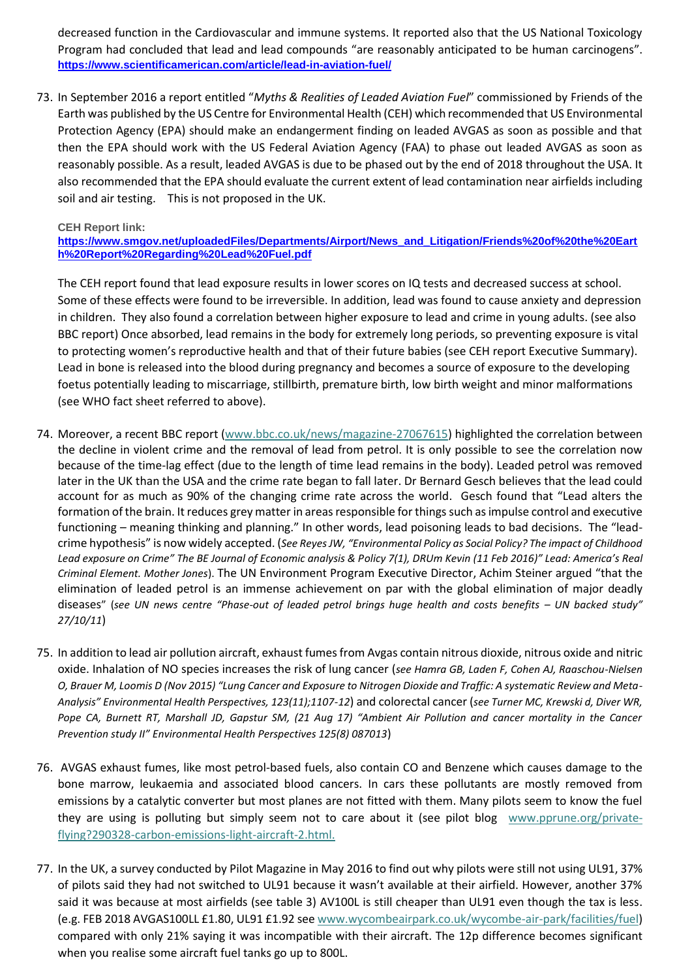decreased function in the Cardiovascular and immune systems. It reported also that the US National Toxicology Program had concluded that lead and lead compounds "are reasonably anticipated to be human carcinogens". **<https://www.scientificamerican.com/article/lead-in-aviation-fuel/>**

73. In September 2016 a report entitled "*Myths & Realities of Leaded Aviation Fuel*" commissioned by Friends of the Earth was published by the US Centre for Environmental Health (CEH) which recommended that US Environmental Protection Agency (EPA) should make an endangerment finding on leaded AVGAS as soon as possible and that then the EPA should work with the US Federal Aviation Agency (FAA) to phase out leaded AVGAS as soon as reasonably possible. As a result, leaded AVGAS is due to be phased out by the end of 2018 throughout the USA. It also recommended that the EPA should evaluate the current extent of lead contamination near airfields including soil and air testing. This is not proposed in the UK.

### **CEH Report link:**

**[https://www.smgov.net/uploadedFiles/Departments/Airport/News\\_and\\_Litigation/Friends%20of%20the%20Eart](https://www.smgov.net/uploadedFiles/Departments/Airport/News_and_Litigation/Friends%20of%20the%20Earth%20Report%20Regarding%20Lead%20Fuel.pdf) [h%20Report%20Regarding%20Lead%20Fuel.pdf](https://www.smgov.net/uploadedFiles/Departments/Airport/News_and_Litigation/Friends%20of%20the%20Earth%20Report%20Regarding%20Lead%20Fuel.pdf)**

The CEH report found that lead exposure results in lower scores on IQ tests and decreased success at school. Some of these effects were found to be irreversible. In addition, lead was found to cause anxiety and depression in children. They also found a correlation between higher exposure to lead and crime in young adults. (see also BBC report) Once absorbed, lead remains in the body for extremely long periods, so preventing exposure is vital to protecting women's reproductive health and that of their future babies (see CEH report Executive Summary). Lead in bone is released into the blood during pregnancy and becomes a source of exposure to the developing foetus potentially leading to miscarriage, stillbirth, premature birth, low birth weight and minor malformations (see WHO fact sheet referred to above).

- 74. Moreover, a recent BBC report [\(www.bbc.co.uk/news/magazine-27067615\)](http://www.bbc.co.uk/news/magazine-27067615) highlighted the correlation between the decline in violent crime and the removal of lead from petrol. It is only possible to see the correlation now because of the time-lag effect (due to the length of time lead remains in the body). Leaded petrol was removed later in the UK than the USA and the crime rate began to fall later. Dr Bernard Gesch believes that the lead could account for as much as 90% of the changing crime rate across the world. Gesch found that "Lead alters the formation of the brain. It reduces grey matter in areas responsible for things such as impulse control and executive functioning – meaning thinking and planning." In other words, lead poisoning leads to bad decisions. The "leadcrime hypothesis" is now widely accepted. (*See Reyes JW, "Environmental Policy as Social Policy? The impact of Childhood Lead exposure on Crime" The BE Journal of Economic analysis & Policy 7(1), DRUm Kevin (11 Feb 2016)" Lead: America's Real Criminal Element. Mother Jones*). The UN Environment Program Executive Director, Achim Steiner argued "that the elimination of leaded petrol is an immense achievement on par with the global elimination of major deadly diseases" (see UN news centre "Phase-out of leaded petrol brings huge health and costs benefits - UN backed study" *27/10/11*)
- 75. In addition to lead air pollution aircraft, exhaust fumes from Avgas contain nitrous dioxide, nitrous oxide and nitric oxide. Inhalation of NO species increases the risk of lung cancer (*see Hamra GB, Laden F, Cohen AJ, Raaschou-Nielsen O, Brauer M, Loomis D (Nov 2015) "Lung Cancer and Exposure to Nitrogen Dioxide and Traffic: A systematic Review and Meta-Analysis" Environmental Health Perspectives, 123(11);1107-12*) and colorectal cancer (*see Turner MC, Krewski d, Diver WR, Pope CA, Burnett RT, Marshall JD, Gapstur SM, (21 Aug 17) "Ambient Air Pollution and cancer mortality in the Cancer Prevention study II" Environmental Health Perspectives 125(8) 087013*)
- 76. AVGAS exhaust fumes, like most petrol-based fuels, also contain CO and Benzene which causes damage to the bone marrow, leukaemia and associated blood cancers. In cars these pollutants are mostly removed from emissions by a catalytic converter but most planes are not fitted with them. Many pilots seem to know the fuel they are using is polluting but simply seem not to care about it (see pilot blog [www.pprune.org/private](http://www.pprune.org/private-flying?290328-carbon-emissions-light-aircraft-2.html)[flying?290328-carbon-emissions-light-aircraft-2.html.](http://www.pprune.org/private-flying?290328-carbon-emissions-light-aircraft-2.html)
- 77. In the UK, a survey conducted by Pilot Magazine in May 2016 to find out why pilots were still not using UL91, 37% of pilots said they had not switched to UL91 because it wasn't available at their airfield. However, another 37% said it was because at most airfields (see table 3) AV100L is still cheaper than UL91 even though the tax is less. (e.g. FEB 2018 AVGAS100LL £1.80, UL91 £1.92 se[e www.wycombeairpark.co.uk/wycombe-air-park/facilities/fuel\)](http://www.wycombeairpark.co.uk/wycombe-air-park/facilities/fuel) compared with only 21% saying it was incompatible with their aircraft. The 12p difference becomes significant when you realise some aircraft fuel tanks go up to 800L.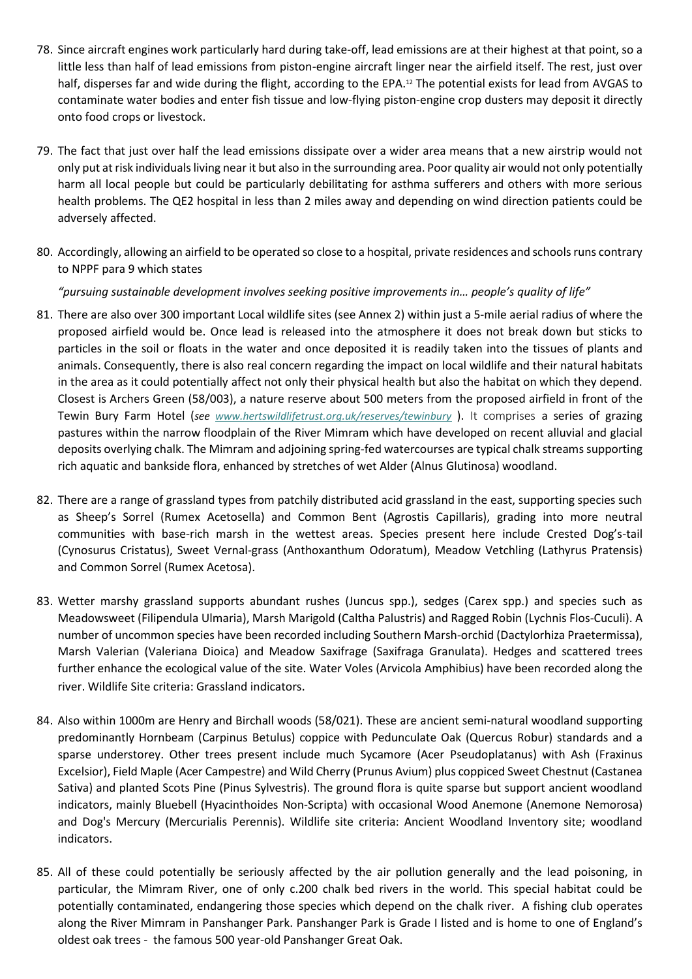- 78. Since aircraft engines work particularly hard during take-off, lead emissions are at their highest at that point, so a little less than half of lead emissions from piston-engine aircraft linger near the airfield itself. The rest, just over half, disperses far and wide during the flight, according to the EPA.<sup>12</sup> The potential exists for lead from AVGAS to contaminate water bodies and enter fish tissue and low-flying piston-engine crop dusters may deposit it directly onto food crops or livestock.
- 79. The fact that just over half the lead emissions dissipate over a wider area means that a new airstrip would not only put at risk individuals living near it but also in the surrounding area. Poor quality air would not only potentially harm all local people but could be particularly debilitating for asthma sufferers and others with more serious health problems. The QE2 hospital in less than 2 miles away and depending on wind direction patients could be adversely affected.
- 80. Accordingly, allowing an airfield to be operated so close to a hospital, private residences and schools runs contrary to NPPF para 9 which states

*"pursuing sustainable development involves seeking positive improvements in… people's quality of life"* 

- 81. There are also over 300 important Local wildlife sites (see Annex 2) within just a 5-mile aerial radius of where the proposed airfield would be. Once lead is released into the atmosphere it does not break down but sticks to particles in the soil or floats in the water and once deposited it is readily taken into the tissues of plants and animals. Consequently, there is also real concern regarding the impact on local wildlife and their natural habitats in the area as it could potentially affect not only their physical health but also the habitat on which they depend. Closest is Archers Green (58/003), a nature reserve about 500 meters from the proposed airfield in front of the Tewin Bury Farm Hotel (*see [www.hertswildlifetrust.org.uk/reserves/tewinbury](http://www.hertswildlifetrust.org.uk/reserves/tewinbury)* ). It comprises a series of grazing pastures within the narrow floodplain of the River Mimram which have developed on recent alluvial and glacial deposits overlying chalk. The Mimram and adjoining spring-fed watercourses are typical chalk streams supporting rich aquatic and bankside flora, enhanced by stretches of wet Alder (Alnus Glutinosa) woodland.
- 82. There are a range of grassland types from patchily distributed acid grassland in the east, supporting species such as Sheep's Sorrel (Rumex Acetosella) and Common Bent (Agrostis Capillaris), grading into more neutral communities with base-rich marsh in the wettest areas. Species present here include Crested Dog's-tail (Cynosurus Cristatus), Sweet Vernal-grass (Anthoxanthum Odoratum), Meadow Vetchling (Lathyrus Pratensis) and Common Sorrel (Rumex Acetosa).
- 83. Wetter marshy grassland supports abundant rushes (Juncus spp.), sedges (Carex spp.) and species such as Meadowsweet (Filipendula Ulmaria), Marsh Marigold (Caltha Palustris) and Ragged Robin (Lychnis Flos-Cuculi). A number of uncommon species have been recorded including Southern Marsh-orchid (Dactylorhiza Praetermissa), Marsh Valerian (Valeriana Dioica) and Meadow Saxifrage (Saxifraga Granulata). Hedges and scattered trees further enhance the ecological value of the site. Water Voles (Arvicola Amphibius) have been recorded along the river. Wildlife Site criteria: Grassland indicators.
- 84. Also within 1000m are Henry and Birchall woods (58/021). These are ancient semi-natural woodland supporting predominantly Hornbeam (Carpinus Betulus) coppice with Pedunculate Oak (Quercus Robur) standards and a sparse understorey. Other trees present include much Sycamore (Acer Pseudoplatanus) with Ash (Fraxinus Excelsior), Field Maple (Acer Campestre) and Wild Cherry (Prunus Avium) plus coppiced Sweet Chestnut (Castanea Sativa) and planted Scots Pine (Pinus Sylvestris). The ground flora is quite sparse but support ancient woodland indicators, mainly Bluebell (Hyacinthoides Non-Scripta) with occasional Wood Anemone (Anemone Nemorosa) and Dog's Mercury (Mercurialis Perennis). Wildlife site criteria: Ancient Woodland Inventory site; woodland indicators.
- 85. All of these could potentially be seriously affected by the air pollution generally and the lead poisoning, in particular, the Mimram River, one of only c.200 chalk bed rivers in the world. This special habitat could be potentially contaminated, endangering those species which depend on the chalk river. A fishing club operates along the River Mimram in Panshanger Park. Panshanger Park is Grade I listed and is home to one of England's oldest oak trees - the famous 500 year-old Panshanger Great Oak.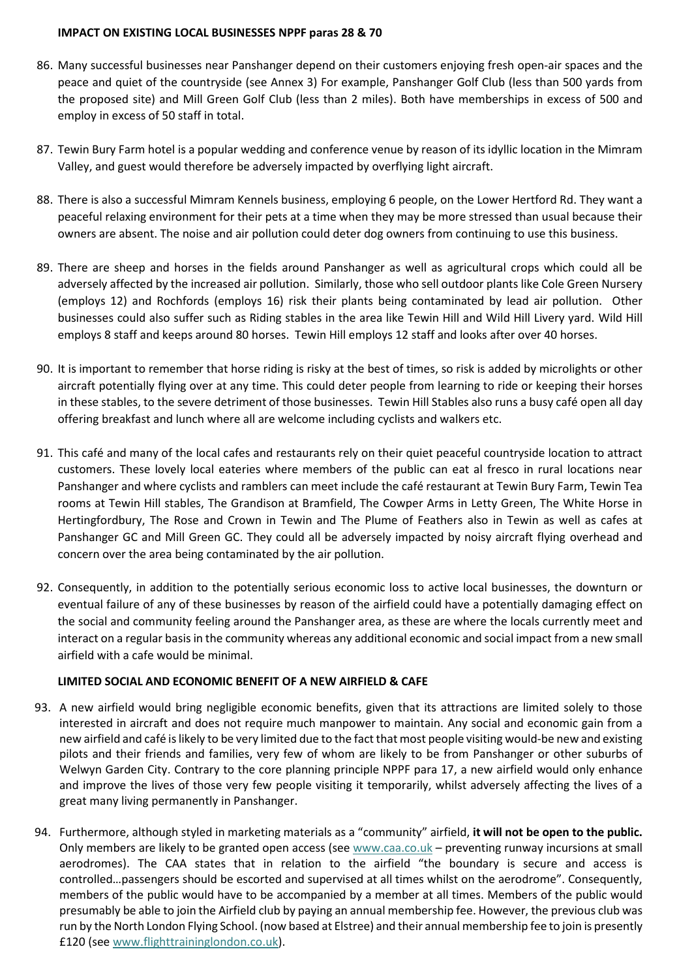### **IMPACT ON EXISTING LOCAL BUSINESSES NPPF paras 28 & 70**

- 86. Many successful businesses near Panshanger depend on their customers enjoying fresh open-air spaces and the peace and quiet of the countryside (see Annex 3) For example, Panshanger Golf Club (less than 500 yards from the proposed site) and Mill Green Golf Club (less than 2 miles). Both have memberships in excess of 500 and employ in excess of 50 staff in total.
- 87. Tewin Bury Farm hotel is a popular wedding and conference venue by reason of its idyllic location in the Mimram Valley, and guest would therefore be adversely impacted by overflying light aircraft.
- 88. There is also a successful Mimram Kennels business, employing 6 people, on the Lower Hertford Rd. They want a peaceful relaxing environment for their pets at a time when they may be more stressed than usual because their owners are absent. The noise and air pollution could deter dog owners from continuing to use this business.
- 89. There are sheep and horses in the fields around Panshanger as well as agricultural crops which could all be adversely affected by the increased air pollution. Similarly, those who sell outdoor plants like Cole Green Nursery (employs 12) and Rochfords (employs 16) risk their plants being contaminated by lead air pollution. Other businesses could also suffer such as Riding stables in the area like Tewin Hill and Wild Hill Livery yard. Wild Hill employs 8 staff and keeps around 80 horses. Tewin Hill employs 12 staff and looks after over 40 horses.
- 90. It is important to remember that horse riding is risky at the best of times, so risk is added by microlights or other aircraft potentially flying over at any time. This could deter people from learning to ride or keeping their horses in these stables, to the severe detriment of those businesses. Tewin Hill Stables also runs a busy café open all day offering breakfast and lunch where all are welcome including cyclists and walkers etc.
- 91. This café and many of the local cafes and restaurants rely on their quiet peaceful countryside location to attract customers. These lovely local eateries where members of the public can eat al fresco in rural locations near Panshanger and where cyclists and ramblers can meet include the café restaurant at Tewin Bury Farm, Tewin Tea rooms at Tewin Hill stables, The Grandison at Bramfield, The Cowper Arms in Letty Green, The White Horse in Hertingfordbury, The Rose and Crown in Tewin and The Plume of Feathers also in Tewin as well as cafes at Panshanger GC and Mill Green GC. They could all be adversely impacted by noisy aircraft flying overhead and concern over the area being contaminated by the air pollution.
- 92. Consequently, in addition to the potentially serious economic loss to active local businesses, the downturn or eventual failure of any of these businesses by reason of the airfield could have a potentially damaging effect on the social and community feeling around the Panshanger area, as these are where the locals currently meet and interact on a regular basis in the community whereas any additional economic and social impact from a new small airfield with a cafe would be minimal.

# **LIMITED SOCIAL AND ECONOMIC BENEFIT OF A NEW AIRFIELD & CAFE**

- 93. A new airfield would bring negligible economic benefits, given that its attractions are limited solely to those interested in aircraft and does not require much manpower to maintain. Any social and economic gain from a new airfield and café is likely to be very limited due to the fact that most people visiting would-be new and existing pilots and their friends and families, very few of whom are likely to be from Panshanger or other suburbs of Welwyn Garden City. Contrary to the core planning principle NPPF para 17, a new airfield would only enhance and improve the lives of those very few people visiting it temporarily, whilst adversely affecting the lives of a great many living permanently in Panshanger.
- 94. Furthermore, although styled in marketing materials as a "community" airfield, **it will not be open to the public.** Only members are likely to be granted open access (se[e www.caa.co.uk](http://www.caa.co.uk/) – preventing runway incursions at small aerodromes). The CAA states that in relation to the airfield "the boundary is secure and access is controlled…passengers should be escorted and supervised at all times whilst on the aerodrome". Consequently, members of the public would have to be accompanied by a member at all times. Members of the public would presumably be able to join the Airfield club by paying an annual membership fee. However, the previous club was run by the North London Flying School. (now based at Elstree) and their annual membership fee to join is presently £120 (see [www.flighttraininglondon.co.uk\)](http://www.flighttraininglondon.co.uk/).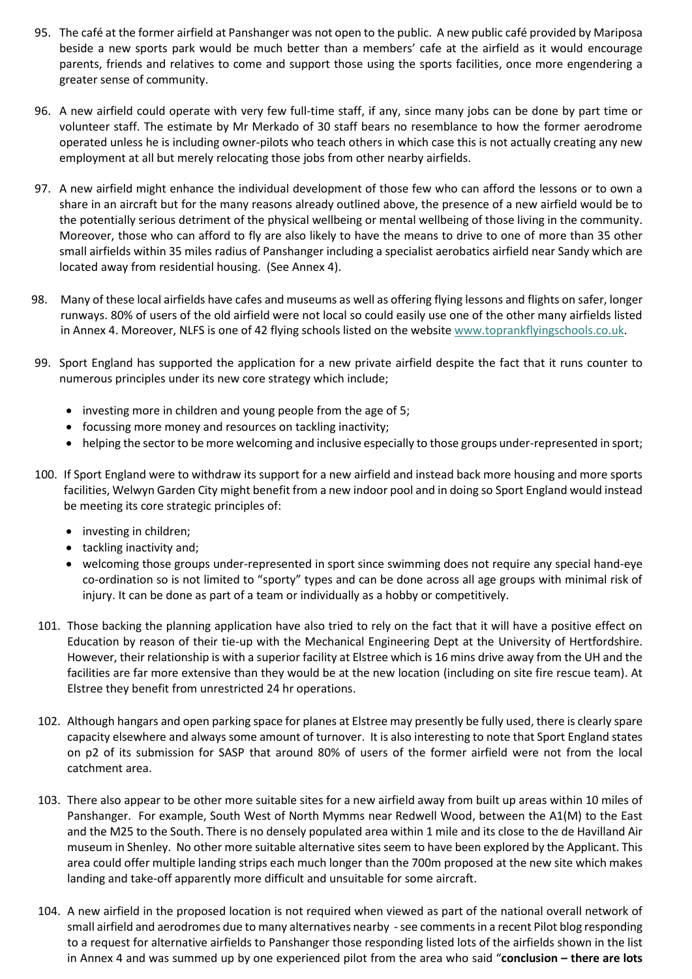- 95. The café at the former airfield at Panshanger was not open to the public. A new public café provided by Mariposa beside a new sports park would be much better than a members' cafe at the airfield as it would encourage parents, friends and relatives to come and support those using the sports facilities, once more engendering a greater sense of community.
- 96. A new airfield could operate with very few full-time staff, if any, since many jobs can be done by part time or volunteer staff. The estimate by Mr Merkado of 30 staff bears no resemblance to how the former aerodrome operated unless he is including owner-pilots who teach others in which case this is not actually creating any new employment at all but merely relocating those jobs from other nearby airfields.
- 97. A new airfield might enhance the individual development of those few who can afford the lessons or to own a share in an aircraft but for the many reasons already outlined above, the presence of a new airfield would be to the potentially serious detriment of the physical wellbeing or mental wellbeing of those living in the community. Moreover, those who can afford to fly are also likely to have the means to drive to one of more than 35 other small airfields within 35 miles radius of Panshanger including a specialist aerobatics airfield near Sandy which are located away from residential housing. (See Annex 4).
- 98. Many of these local airfields have cafes and museums as well as offering flying lessons and flights on safer, longer runways. 80% of users of the old airfield were not local so could easily use one of the other many airfields listed in Annex 4. Moreover, NLFS is one of 42 flying schools listed on the website [www.toprankflyingschools.co.uk.](http://www.toprankflyingschools.co.uk/)
- 99. Sport England has supported the application for a new private airfield despite the fact that it runs counter to numerous principles under its new core strategy which include;
	- investing more in children and young people from the age of 5;
	- focussing more money and resources on tackling inactivity;
	- helping the sector to be more welcoming and inclusive especially to those groups under-represented in sport;
- 100. If Sport England were to withdraw its support for a new airfield and instead back more housing and more sports facilities, Welwyn Garden City might benefit from a new indoor pool and in doing so Sport England would instead be meeting its core strategic principles of:
	- investing in children;
	- tackling inactivity and;
	- welcoming those groups under-represented in sport since swimming does not require any special hand-eye co-ordination so is not limited to "sporty" types and can be done across all age groups with minimal risk of injury. It can be done as part of a team or individually as a hobby or competitively.
- 101. Those backing the planning application have also tried to rely on the fact that it will have a positive effect on Education by reason of their tie-up with the Mechanical Engineering Dept at the University of Hertfordshire. However, their relationship is with a superior facility at Elstree which is 16 mins drive away from the UH and the facilities are far more extensive than they would be at the new location (including on site fire rescue team). At Elstree they benefit from unrestricted 24 hr operations.
- 102. Although hangars and open parking space for planes at Elstree may presently be fully used, there is clearly spare capacity elsewhere and always some amount of turnover. It is also interesting to note that Sport England states on p2 of its submission for SASP that around 80% of users of the former airfield were not from the local catchment area.
- 103. There also appear to be other more suitable sites for a new airfield away from built up areas within 10 miles of Panshanger. For example, South West of North Mymms near Redwell Wood, between the A1(M) to the East and the M25 to the South. There is no densely populated area within 1 mile and its close to the de Havilland Air museum in Shenley. No other more suitable alternative sites seem to have been explored by the Applicant. This area could offer multiple landing strips each much longer than the 700m proposed at the new site which makes landing and take-off apparently more difficult and unsuitable for some aircraft.
- 104. A new airfield in the proposed location is not required when viewed as part of the national overall network of small airfield and aerodromes due to many alternatives nearby - see comments in a recent Pilot blog responding to a request for alternative airfields to Panshanger those responding listed lots of the airfields shown in the list in Annex 4 and was summed up by one experienced pilot from the area who said "**conclusion – there are lots**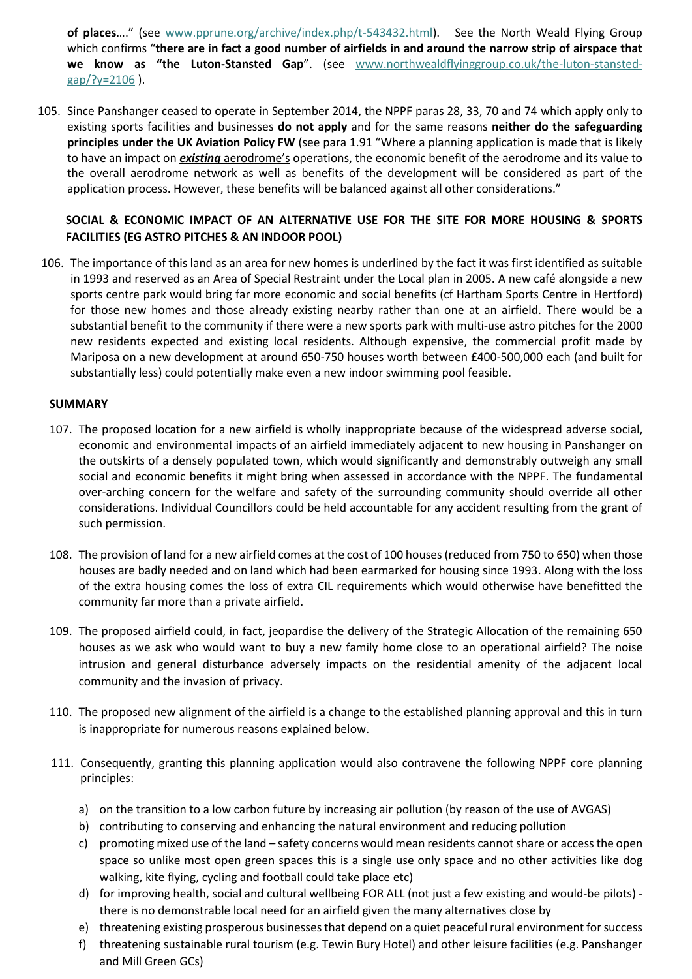**of places**…." (see [www.pprune.org/archive/index.php/t-543432.html\)](http://www.pprune.org/archive/index.php/t-543432.html). See the North Weald Flying Group which confirms "**there are in fact a good number of airfields in and around the narrow strip of airspace that we know as "the Luton-Stansted Gap**". (see [www.northwealdflyinggroup.co.uk/the-luton-stansted](http://www.northwealdflyinggroup.co.uk/the-luton-stansted-gap/?y=2106) $gap$ ?y=2106).

105. Since Panshanger ceased to operate in September 2014, the NPPF paras 28, 33, 70 and 74 which apply only to existing sports facilities and businesses **do not apply** and for the same reasons **neither do the safeguarding principles under the UK Aviation Policy FW** (see para 1.91 "Where a planning application is made that is likely to have an impact on *existing* aerodrome's operations, the economic benefit of the aerodrome and its value to the overall aerodrome network as well as benefits of the development will be considered as part of the application process. However, these benefits will be balanced against all other considerations."

# **SOCIAL & ECONOMIC IMPACT OF AN ALTERNATIVE USE FOR THE SITE FOR MORE HOUSING & SPORTS FACILITIES (EG ASTRO PITCHES & AN INDOOR POOL)**

106. The importance of this land as an area for new homes is underlined by the fact it was first identified as suitable in 1993 and reserved as an Area of Special Restraint under the Local plan in 2005. A new café alongside a new sports centre park would bring far more economic and social benefits (cf Hartham Sports Centre in Hertford) for those new homes and those already existing nearby rather than one at an airfield. There would be a substantial benefit to the community if there were a new sports park with multi-use astro pitches for the 2000 new residents expected and existing local residents. Although expensive, the commercial profit made by Mariposa on a new development at around 650-750 houses worth between £400-500,000 each (and built for substantially less) could potentially make even a new indoor swimming pool feasible.

### **SUMMARY**

- 107. The proposed location for a new airfield is wholly inappropriate because of the widespread adverse social, economic and environmental impacts of an airfield immediately adjacent to new housing in Panshanger on the outskirts of a densely populated town, which would significantly and demonstrably outweigh any small social and economic benefits it might bring when assessed in accordance with the NPPF. The fundamental over-arching concern for the welfare and safety of the surrounding community should override all other considerations. Individual Councillors could be held accountable for any accident resulting from the grant of such permission.
- 108. The provision of land for a new airfield comes at the cost of 100 houses (reduced from 750 to 650) when those houses are badly needed and on land which had been earmarked for housing since 1993. Along with the loss of the extra housing comes the loss of extra CIL requirements which would otherwise have benefitted the community far more than a private airfield.
- 109. The proposed airfield could, in fact, jeopardise the delivery of the Strategic Allocation of the remaining 650 houses as we ask who would want to buy a new family home close to an operational airfield? The noise intrusion and general disturbance adversely impacts on the residential amenity of the adjacent local community and the invasion of privacy.
- 110. The proposed new alignment of the airfield is a change to the established planning approval and this in turn is inappropriate for numerous reasons explained below.
- 111. Consequently, granting this planning application would also contravene the following NPPF core planning principles:
	- a) on the transition to a low carbon future by increasing air pollution (by reason of the use of AVGAS)
	- b) contributing to conserving and enhancing the natural environment and reducing pollution
	- c) promoting mixed use of the land safety concerns would mean residents cannot share or access the open space so unlike most open green spaces this is a single use only space and no other activities like dog walking, kite flying, cycling and football could take place etc)
	- d) for improving health, social and cultural wellbeing FOR ALL (not just a few existing and would-be pilots) there is no demonstrable local need for an airfield given the many alternatives close by
	- e) threatening existing prosperous businesses that depend on a quiet peaceful rural environment for success
	- f) threatening sustainable rural tourism (e.g. Tewin Bury Hotel) and other leisure facilities (e.g. Panshanger and Mill Green GCs)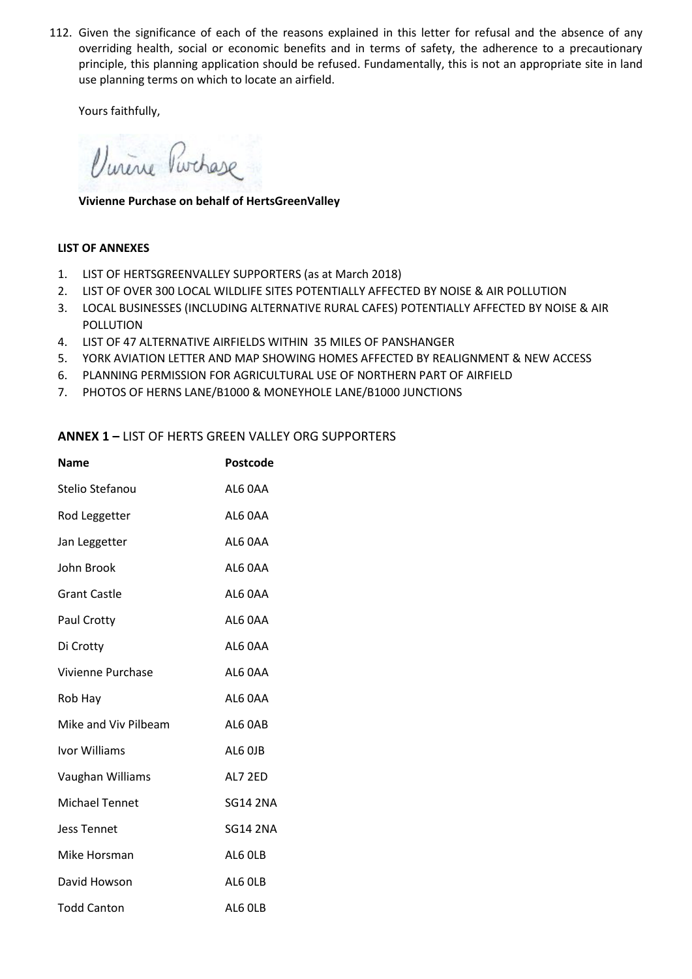112. Given the significance of each of the reasons explained in this letter for refusal and the absence of any overriding health, social or economic benefits and in terms of safety, the adherence to a precautionary principle, this planning application should be refused. Fundamentally, this is not an appropriate site in land use planning terms on which to locate an airfield.

Yours faithfully,

Vinene Purchase

**Vivienne Purchase on behalf of HertsGreenValley**

### **LIST OF ANNEXES**

- 1. LIST OF HERTSGREENVALLEY SUPPORTERS (as at March 2018)
- 2. LIST OF OVER 300 LOCAL WILDLIFE SITES POTENTIALLY AFFECTED BY NOISE & AIR POLLUTION
- 3. LOCAL BUSINESSES (INCLUDING ALTERNATIVE RURAL CAFES) POTENTIALLY AFFECTED BY NOISE & AIR POLLUTION
- 4. LIST OF 47 ALTERNATIVE AIRFIELDS WITHIN 35 MILES OF PANSHANGER
- 5. YORK AVIATION LETTER AND MAP SHOWING HOMES AFFECTED BY REALIGNMENT & NEW ACCESS
- 6. PLANNING PERMISSION FOR AGRICULTURAL USE OF NORTHERN PART OF AIRFIELD
- 7. PHOTOS OF HERNS LANE/B1000 & MONEYHOLE LANE/B1000 JUNCTIONS

# **ANNEX 1 –** LIST OF HERTS GREEN VALLEY ORG SUPPORTERS

| <b>Name</b>           | Postcode        |
|-----------------------|-----------------|
| Stelio Stefanou       | AL6 OAA         |
| Rod Leggetter         | AL6 0AA         |
| Jan Leggetter         | AL6 0AA         |
| John Brook            | AL6 0AA         |
| <b>Grant Castle</b>   | AL6 0AA         |
| Paul Crotty           | AL6 OAA         |
| Di Crotty             | AL6 0AA         |
| Vivienne Purchase     | AL6 0AA         |
| Rob Hay               | AL6 0AA         |
| Mike and Viv Pilbeam  | AL6 OAB         |
| Ivor Williams         | AL6 OJB         |
| Vaughan Williams      | AL7 2ED         |
| <b>Michael Tennet</b> | <b>SG14 2NA</b> |
| <b>Jess Tennet</b>    | <b>SG14 2NA</b> |
| Mike Horsman          | AL6 OLB         |
| David Howson          | AL6 OLB         |
| <b>Todd Canton</b>    | AL6 OLB         |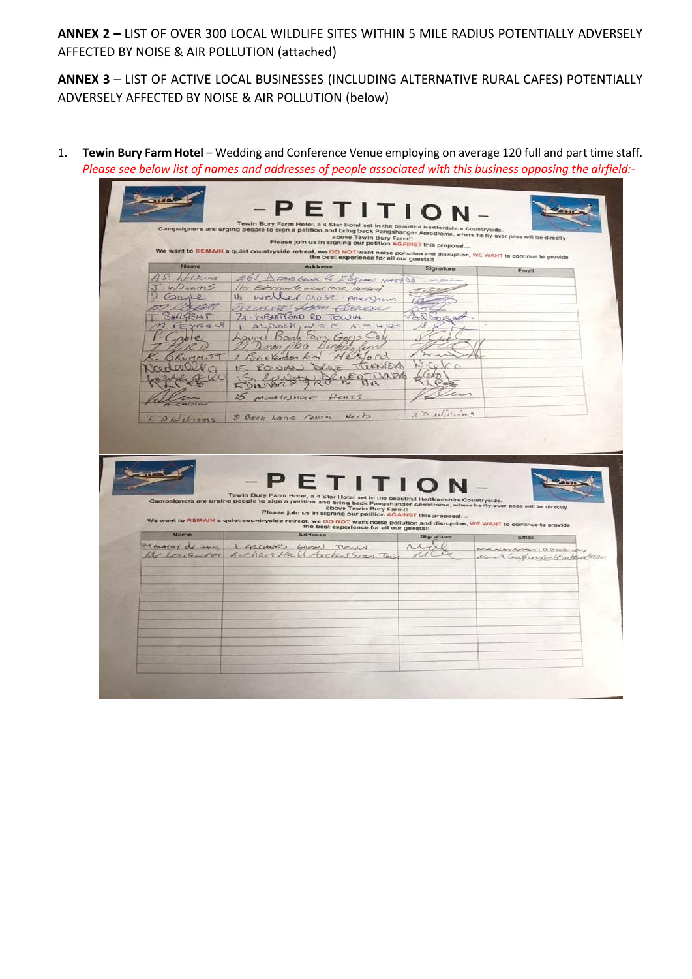**ANNEX 2 –** LIST OF OVER 300 LOCAL WILDLIFE SITES WITHIN 5 MILE RADIUS POTENTIALLY ADVERSELY AFFECTED BY NOISE & AIR POLLUTION (attached)

**ANNEX 3** – LIST OF ACTIVE LOCAL BUSINESSES (INCLUDING ALTERNATIVE RURAL CAFES) POTENTIALLY ADVERSELY AFFECTED BY NOISE & AIR POLLUTION (below)

1. **Tewin Bury Farm Hotel** – Wedding and Conference Venue employing on average 120 full and part time staff. *Please see below list of names and addresses of people associated with this business opposing the airfield:-*

|                 |                                                                                                                                                                                                                                                                                                                                   | Please join us in signing our petition AGAINST this proposal |                                |
|-----------------|-----------------------------------------------------------------------------------------------------------------------------------------------------------------------------------------------------------------------------------------------------------------------------------------------------------------------------------|--------------------------------------------------------------|--------------------------------|
| Name            | We want to REMAIN a quiet countryside retreat, we DO NOT want noise pollution and disruption, WE WANT to continue to provide<br>the best experience for all our guests!!<br><b>Address</b>                                                                                                                                        |                                                              |                                |
| AS. Wickins     | 261 DANSBRUCK EBSING HASSE                                                                                                                                                                                                                                                                                                        | Signature                                                    | Email                          |
| J. Williams     | 110 Election to, ment land, Hartlod                                                                                                                                                                                                                                                                                               |                                                              |                                |
| Gayle           | 16 weller close pregnum                                                                                                                                                                                                                                                                                                           |                                                              |                                |
| n Deca          | RECUENTE from Cheron                                                                                                                                                                                                                                                                                                              |                                                              |                                |
| AILGENT         | 24. WEARTHOND RD TEWIN                                                                                                                                                                                                                                                                                                            |                                                              |                                |
| <b>KOU</b>      | ALDECM, W.C.C.ALT H GP                                                                                                                                                                                                                                                                                                            |                                                              |                                |
|                 | Laurel Bank Farm, Gass Coli                                                                                                                                                                                                                                                                                                       |                                                              |                                |
|                 | 22, Dexon place Burkingford                                                                                                                                                                                                                                                                                                       |                                                              |                                |
|                 | 1 Brekenson L.N Herdord                                                                                                                                                                                                                                                                                                           |                                                              |                                |
|                 | IS ROWAN DUNE TURNER                                                                                                                                                                                                                                                                                                              |                                                              |                                |
|                 | Bulary 20 18 meg wards                                                                                                                                                                                                                                                                                                            |                                                              |                                |
|                 | 15 montestiam HenTS                                                                                                                                                                                                                                                                                                               |                                                              |                                |
|                 |                                                                                                                                                                                                                                                                                                                                   |                                                              |                                |
| DWelliams       | Herts<br>3 Back Lone Town                                                                                                                                                                                                                                                                                                         | 1.D. Williams                                                |                                |
|                 |                                                                                                                                                                                                                                                                                                                                   |                                                              |                                |
|                 | <b>FTIT</b><br>Tewin Bury Farm Hotel, a 4 Star Hotel set in the beautiful Hertfordshire Countryside.<br>Campaigners are urging people to sign a petition and bring back Pangshanger Aerodrome, where he fly over pass will be directly<br>above Tewin Bury Farm!!<br>Please join us in signing our petition AGAINST this proposal |                                                              |                                |
|                 | We want to REMAIN a quiet countryside retreat, we DO NOT want noise pollution and disruption, WE WANT to continue to provide<br>the best experience for all our guests!!                                                                                                                                                          |                                                              |                                |
| Name            | <b>Address</b>                                                                                                                                                                                                                                                                                                                    | Signature                                                    | Email                          |
|                 | I ARCHARD GROON TURNIN                                                                                                                                                                                                                                                                                                            | $\Lambda \Lambda - \epsilon$                                 | MALAYCOUNT A CHAIR             |
| MALACAY de Lacy | Mr Lougnezy Archers Hall Archers Gran Dui                                                                                                                                                                                                                                                                                         |                                                              | Made Couterwater tomtaret. can |
|                 |                                                                                                                                                                                                                                                                                                                                   |                                                              |                                |
|                 |                                                                                                                                                                                                                                                                                                                                   |                                                              |                                |
|                 |                                                                                                                                                                                                                                                                                                                                   |                                                              |                                |
|                 |                                                                                                                                                                                                                                                                                                                                   |                                                              |                                |
|                 |                                                                                                                                                                                                                                                                                                                                   |                                                              |                                |
|                 |                                                                                                                                                                                                                                                                                                                                   |                                                              |                                |
|                 |                                                                                                                                                                                                                                                                                                                                   |                                                              |                                |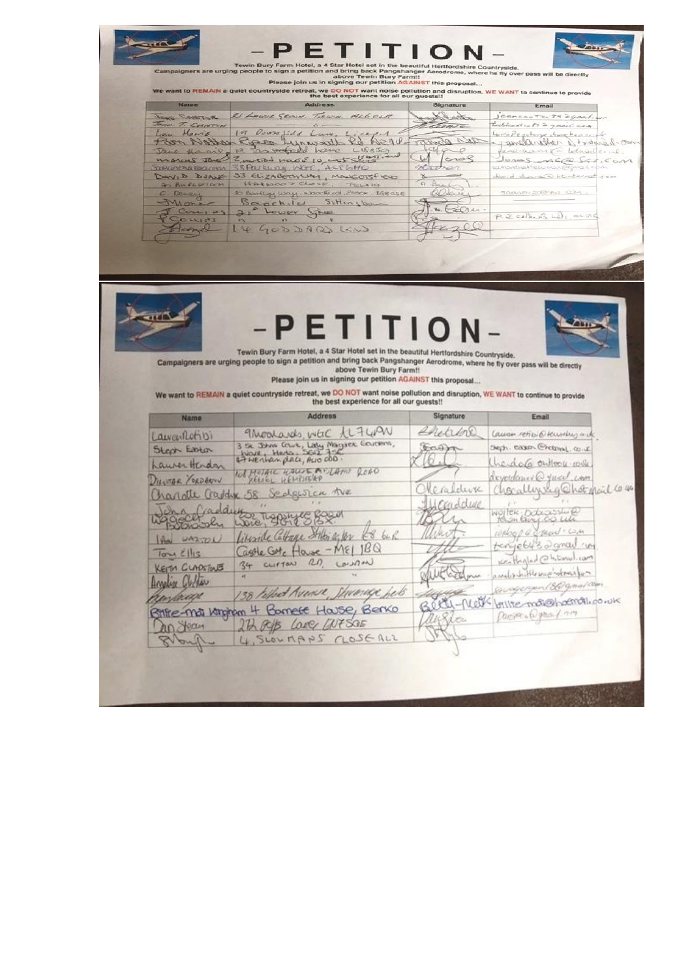| Name<br>RETAIN UNIT<br>JOHN T. CHNTAN<br>Lau Marrio<br>vatto A pro<br>Jane Hanno<br>marcy Janes<br><b>YOUNGARTHO BOOLINGA</b><br>DAVID DUANT<br>A. Bulletich<br>Dewey<br>Mora<br>Con, us | <b>Address</b><br>21 LOWER SECON TERNIN. ALL.OLA<br>19 Voure idd<br>$42 - 11$<br>Rose<br>N>00<br>Stevenship<br>L18830<br>19 parecell have<br>Zurtod wade 10, with states<br>38 Parkway, WGC, ACP6HO<br>33 ELizaBeTHUM, MANGOTSFEW<br>HAtwoor ClosE<br>. THILLIG<br>30 Bentley Way, Woodford, SSSCK, IGBOSE<br>Bapchild<br>$S_1H_{1,1}$ bom | Signature<br>Sarbata<br>2443<br>Ei | Email<br>jeanson to 29 & grail sen<br>toddeast in 59 2 grand. com<br>Leviele felage deveber - the<br>mos bent 11 rollings-on<br>fine-hamson believable-up<br>Jonas neas Scricon<br>samanthakhearman@Gmail.Com<br>david during a stintarnati came |
|------------------------------------------------------------------------------------------------------------------------------------------------------------------------------------------|--------------------------------------------------------------------------------------------------------------------------------------------------------------------------------------------------------------------------------------------------------------------------------------------------------------------------------------------|------------------------------------|--------------------------------------------------------------------------------------------------------------------------------------------------------------------------------------------------------------------------------------------------|
|                                                                                                                                                                                          |                                                                                                                                                                                                                                                                                                                                            |                                    |                                                                                                                                                                                                                                                  |
|                                                                                                                                                                                          |                                                                                                                                                                                                                                                                                                                                            |                                    |                                                                                                                                                                                                                                                  |
|                                                                                                                                                                                          |                                                                                                                                                                                                                                                                                                                                            |                                    |                                                                                                                                                                                                                                                  |
|                                                                                                                                                                                          |                                                                                                                                                                                                                                                                                                                                            |                                    |                                                                                                                                                                                                                                                  |
|                                                                                                                                                                                          |                                                                                                                                                                                                                                                                                                                                            |                                    |                                                                                                                                                                                                                                                  |
|                                                                                                                                                                                          |                                                                                                                                                                                                                                                                                                                                            |                                    |                                                                                                                                                                                                                                                  |
|                                                                                                                                                                                          |                                                                                                                                                                                                                                                                                                                                            | 130020                             | SDAGE-20@mil.CCM                                                                                                                                                                                                                                 |
|                                                                                                                                                                                          | $2i^{\circ}$<br>Lower<br>Lines                                                                                                                                                                                                                                                                                                             | Elser                              | P. 2. cellens Lile and                                                                                                                                                                                                                           |
| $L^{4}$ 140<br>con                                                                                                                                                                       | GOD BARGO                                                                                                                                                                                                                                                                                                                                  |                                    |                                                                                                                                                                                                                                                  |
|                                                                                                                                                                                          |                                                                                                                                                                                                                                                                                                                                            |                                    |                                                                                                                                                                                                                                                  |
|                                                                                                                                                                                          | Tewin Bury Farm Hotel, a 4 Star Hotel set in the beautiful Hertfordshire Countryside.<br>Campaigners are urging people to sign a petition and bring back Pangshanger Aerodrome, where he fly over pass will be directly<br>above Tewin Bury Farm!!<br>Please join us in signing our petition AGAINST this proposal                         | -PETITION                          |                                                                                                                                                                                                                                                  |
|                                                                                                                                                                                          | We want to REMAIN a quiet countryside retreat, we DO NOT want noise pollution and disruption, WE WANT to continue to provide<br>the best experience for all our quests!!                                                                                                                                                                   |                                    |                                                                                                                                                                                                                                                  |
| Name                                                                                                                                                                                     | <b>Address</b>                                                                                                                                                                                                                                                                                                                             | Signature                          | Email                                                                                                                                                                                                                                            |
| Lawartetisi                                                                                                                                                                              | 9 Moderals, were the 400                                                                                                                                                                                                                                                                                                                   | enane                              | Cause retiric temples art                                                                                                                                                                                                                        |
| Steph Esster                                                                                                                                                                             |                                                                                                                                                                                                                                                                                                                                            |                                    | Seph. easen Chelsmal. co.ut.                                                                                                                                                                                                                     |
| Laurer Herden                                                                                                                                                                            | 3 se John Crue, Laly Magaer Governo,<br>Work, Hers, Joll 7-2<br>Et Herhan place, Aus 000.                                                                                                                                                                                                                                                  |                                    | heracle outlook colle                                                                                                                                                                                                                            |
| DIEWTOR YORDBANN                                                                                                                                                                         | NOT MOTALE KALLE ANTANO ROAD                                                                                                                                                                                                                                                                                                               | erafelwa                           | reverdance Q yucul can                                                                                                                                                                                                                           |
|                                                                                                                                                                                          | harlotte Gaddyne 58 Sedgesten the                                                                                                                                                                                                                                                                                                          | condiduce                          | hocallysig Chot mail to 40                                                                                                                                                                                                                       |
| In a fraddy                                                                                                                                                                              | 4502                                                                                                                                                                                                                                                                                                                                       |                                    | WOITEK DOCCOSSING<br>Hashlaug CO Lill                                                                                                                                                                                                            |
|                                                                                                                                                                                          | TLAPPIN                                                                                                                                                                                                                                                                                                                                    | uw                                 | inhop a connect can                                                                                                                                                                                                                              |
| WAZ TO L                                                                                                                                                                                 | Liberale Collage Stilen a fer<br>64R                                                                                                                                                                                                                                                                                                       |                                    |                                                                                                                                                                                                                                                  |
| $T_{\text{OCM}}$ $\leq$   15                                                                                                                                                             | Castle Gote House - ME 1BQ<br>Lourn                                                                                                                                                                                                                                                                                                        |                                    | tenye6432 gmail un<br>Keithglad@h.turul.com                                                                                                                                                                                                      |
| KEITH CLADSTOLES                                                                                                                                                                         | 34 CLIFTON RD.                                                                                                                                                                                                                                                                                                                             |                                    | analor in His sage whereifor                                                                                                                                                                                                                     |
| Angelier Clother                                                                                                                                                                         |                                                                                                                                                                                                                                                                                                                                            |                                    |                                                                                                                                                                                                                                                  |
| rostware                                                                                                                                                                                 | 38 tothet Avenue, Stevenige het                                                                                                                                                                                                                                                                                                            | Beth-Meth                          | Enseigerund 860 gmad com<br>brillie motophoemotico.uk                                                                                                                                                                                            |
| an Jean                                                                                                                                                                                  | Bitte-ma Kingham 4 Bornete House, Berko<br>2th Rep Love GUTSOE                                                                                                                                                                                                                                                                             | aussien                            | portan part nos                                                                                                                                                                                                                                  |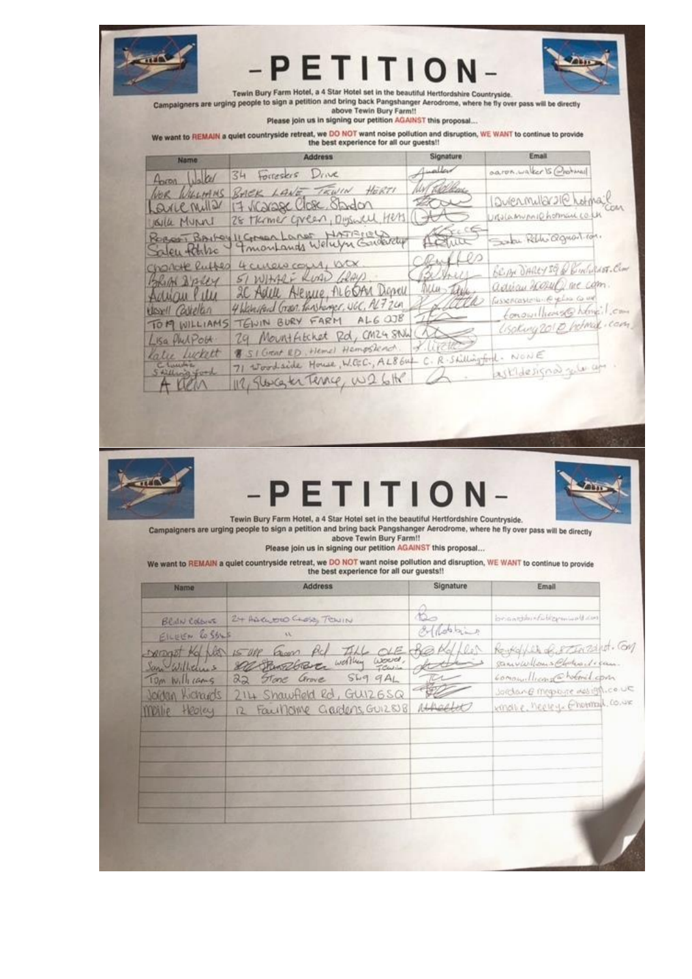

Please join us in signing our petition AGAINST this proposal...

We want to REMAIN a quiet countryside retreat, we DO NOT want noise pollution and disruption, WE WANT to continue to provide<br>the best experience for all our guests!!

| <b>Name</b>                    | <b>Address</b>                                                                            | Signature      | Email                                                   |
|--------------------------------|-------------------------------------------------------------------------------------------|----------------|---------------------------------------------------------|
| foron Water                    | 34 Forresers Drive                                                                        |                | oaron.waker is Orohmail                                 |
|                                | NOR WILLIAMS BACK LANE, TRWIN HERTI                                                       | W/ Kelkar      |                                                         |
| Lave Miller                    | 17 Vicage Close Stadon                                                                    | RN             | Durenmular sile hotmail                                 |
| Walle Munnel                   | 28 TRAMER CAREER, Digenell, Hers (1)                                                      |                |                                                         |
| Saleu tahle                    | Rocas Barbey 11 Comes Lange HATTEREWater                                                  | Address        | Sola Reble agreest com.                                 |
| Change Ruffer                  | 4 cucio cour, ou                                                                          | clare<br>Camer | BEIN DARRY SQ & BINGRASS-CLOT                           |
| BRIA DAVEY<br>Adviau Ville     | 51 WHARE RUAD GRAYS<br>IC Adell Alence, ALGOAN Depell                                     | Muster         | adviau 2002 WD are com.<br>fussencasterio e gelos co un |
| Ussell Carellan                | 4 Wanted Green tankings, UGC, ALTZLA<br>TEWIN BURY FARM ALG OUR TELL                      | J. Colle       | Conowilliams@hemeil.com                                 |
| TOM WILLIAMS                   | 29 Mountfiltchet Rd, CM24 SAVW (AL                                                        |                | (isolary 2010 Intrad cam                                |
| Lisa Philpott<br>Katee Luckett | 8 SI GRAN RD. Hemel Hempstead. 7. LITTLE                                                  |                |                                                         |
| 5 tilling ford                 | 71 Woodside House, W.G.C., AL864 C. R. Stillingford. NONE<br>112, Sweeter Terrie, W26H A. |                | askidesignal gela apr .                                 |
| Allen                          |                                                                                           |                |                                                         |



# PETITI  $\Omega$



Tewin Bury Farm Hotel, a 4 Star Hotel set in the beautiful Hertfordshire Countryside. Campaigners are urging people to sign a petition and bring back Pangshanger Aerodrome, where he fly over pass will be directly

above Tewin Bury Farm!!

Please join us in signing our petition AGAINST this proposal...

We want to REMAIN a quiet countryside retreat, we DO NOT want noise pollution and disruption, WE WANT to continue to provide<br>the best experience for all our quests!!

| Name            | <b>Address</b>                          | Signature            | Email                           |
|-----------------|-----------------------------------------|----------------------|---------------------------------|
|                 |                                         |                      |                                 |
| Beath Colburn   | 24 Auch BIO CLOSE, TOWIN                | $\frac{2}{\sqrt{2}}$ | broadwitchermund                |
| EILEEN Cossus   | AX.                                     | of dobling           |                                 |
|                 |                                         | 100                  | Reykelfel Contactivel. Con      |
|                 | someof the list is use Grow Ad Till OLE |                      | samvalloms Choles de can-       |
| Tom Willicams   | 22 Stone Grove SLIG GAL                 |                      | conouilliants holmed com        |
| Joidan Kichards | 214 Shawfield Rd, GUIZ6SQ               |                      | Jordan @ megobyte mes igh.co.u= |
| Moille Healey   | Faul/Olive Gardens, GUIZSUB<br>12       | Athablic             | kindle, heeley. Ehemal, co.uk   |
|                 |                                         |                      |                                 |
|                 |                                         |                      |                                 |
|                 |                                         |                      |                                 |
|                 |                                         |                      |                                 |
|                 |                                         |                      |                                 |
|                 |                                         |                      |                                 |
|                 |                                         |                      |                                 |
|                 |                                         |                      |                                 |
|                 |                                         |                      |                                 |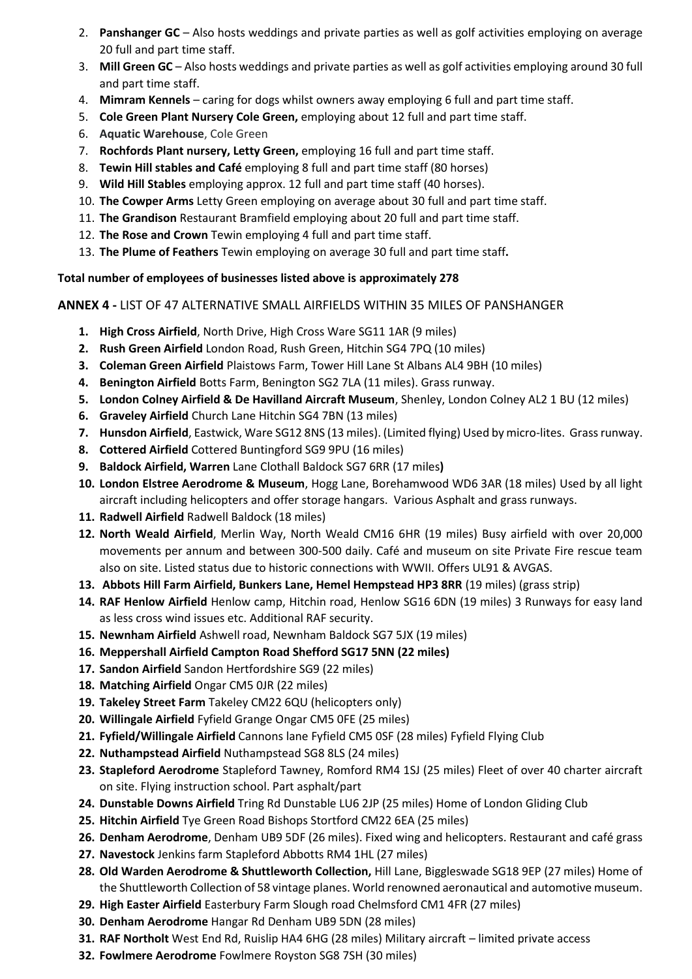- 2. **Panshanger GC** Also hosts weddings and private parties as well as golf activities employing on average 20 full and part time staff.
- 3. **Mill Green GC** Also hosts weddings and private parties as well as golf activities employing around 30 full and part time staff.
- 4. **Mimram Kennels**  caring for dogs whilst owners away employing 6 full and part time staff.
- 5. **Cole Green Plant Nursery Cole Green,** employing about 12 full and part time staff.
- 6. **Aquatic Warehouse**, Cole Green
- 7. **Rochfords Plant nursery, Letty Green,** employing 16 full and part time staff.
- 8. **Tewin Hill stables and Café** employing 8 full and part time staff (80 horses)
- 9. **Wild Hill Stables** employing approx. 12 full and part time staff (40 horses).
- 10. **The Cowper Arms** Letty Green employing on average about 30 full and part time staff.
- 11. **The Grandison** Restaurant Bramfield employing about 20 full and part time staff.
- 12. **The Rose and Crown** Tewin employing 4 full and part time staff.
- 13. **The Plume of Feathers** Tewin employing on average 30 full and part time staff**.**

# **Total number of employees of businesses listed above is approximately 278**

**ANNEX 4 -** LIST OF 47 ALTERNATIVE SMALL AIRFIELDS WITHIN 35 MILES OF PANSHANGER

- **1. High Cross Airfield**, North Drive, High Cross Ware SG11 1AR (9 miles)
- **2. Rush Green Airfield** London Road, Rush Green, Hitchin SG4 7PQ (10 miles)
- **3. Coleman Green Airfield** Plaistows Farm, Tower Hill Lane St Albans AL4 9BH (10 miles)
- **4. Benington Airfield** Botts Farm, Benington SG2 7LA (11 miles). Grass runway.
- **5. London Colney Airfield & De Havilland Aircraft Museum**, Shenley, London Colney AL2 1 BU (12 miles)
- **6. Graveley Airfield** Church Lane Hitchin SG4 7BN (13 miles)
- **7. Hunsdon Airfield**, Eastwick, Ware SG12 8NS (13 miles). (Limited flying) Used by micro-lites. Grass runway.
- **8. Cottered Airfield** Cottered Buntingford SG9 9PU (16 miles)
- **9. Baldock Airfield, Warren** Lane Clothall Baldock SG7 6RR (17 miles**)**
- **10. London Elstree Aerodrome & Museum**, Hogg Lane, Borehamwood WD6 3AR (18 miles) Used by all light aircraft including helicopters and offer storage hangars. Various Asphalt and grass runways.
- **11. Radwell Airfield** Radwell Baldock (18 miles)
- **12. North Weald Airfield**, Merlin Way, North Weald CM16 6HR (19 miles) Busy airfield with over 20,000 movements per annum and between 300-500 daily. Café and museum on site Private Fire rescue team also on site. Listed status due to historic connections with WWII. Offers UL91 & AVGAS.
- **13. Abbots Hill Farm Airfield, Bunkers Lane, Hemel Hempstead HP3 8RR** (19 miles) (grass strip)
- **14. RAF Henlow Airfield** Henlow camp, Hitchin road, Henlow SG16 6DN (19 miles) 3 Runways for easy land as less cross wind issues etc. Additional RAF security.
- **15. Newnham Airfield** Ashwell road, Newnham Baldock SG7 5JX (19 miles)
- **16. Meppershall Airfield Campton Road Shefford SG17 5NN (22 miles)**
- **17. Sandon Airfield** Sandon Hertfordshire SG9 (22 miles)
- **18. Matching Airfield** Ongar CM5 0JR (22 miles)
- **19. Takeley Street Farm** Takeley CM22 6QU (helicopters only)
- **20. Willingale Airfield** Fyfield Grange Ongar CM5 0FE (25 miles)
- **21. Fyfield/Willingale Airfield** Cannons lane Fyfield CM5 0SF (28 miles) Fyfield Flying Club
- **22. Nuthampstead Airfield** Nuthampstead SG8 8LS (24 miles)
- **23. Stapleford Aerodrome** Stapleford Tawney, Romford RM4 1SJ (25 miles) Fleet of over 40 charter aircraft on site. Flying instruction school. Part asphalt/part
- **24. Dunstable Downs Airfield** Tring Rd Dunstable LU6 2JP (25 miles) Home of London Gliding Club
- **25. Hitchin Airfield** Tye Green Road Bishops Stortford CM22 6EA (25 miles)
- **26. Denham Aerodrome**, Denham UB9 5DF (26 miles). Fixed wing and helicopters. Restaurant and café grass
- **27. Navestock** Jenkins farm Stapleford Abbotts RM4 1HL (27 miles)
- **28. Old Warden Aerodrome & Shuttleworth Collection,** Hill Lane, Biggleswade SG18 9EP (27 miles) Home of the Shuttleworth Collection of 58 vintage planes. World renowned aeronautical and automotive museum.
- **29. High Easter Airfield** Easterbury Farm Slough road Chelmsford CM1 4FR (27 miles)
- **30. Denham Aerodrome** Hangar Rd Denham UB9 5DN (28 miles)
- **31. RAF Northolt** West End Rd, Ruislip HA4 6HG (28 miles) Military aircraft limited private access
- **32. Fowlmere Aerodrome** Fowlmere Royston SG8 7SH (30 miles)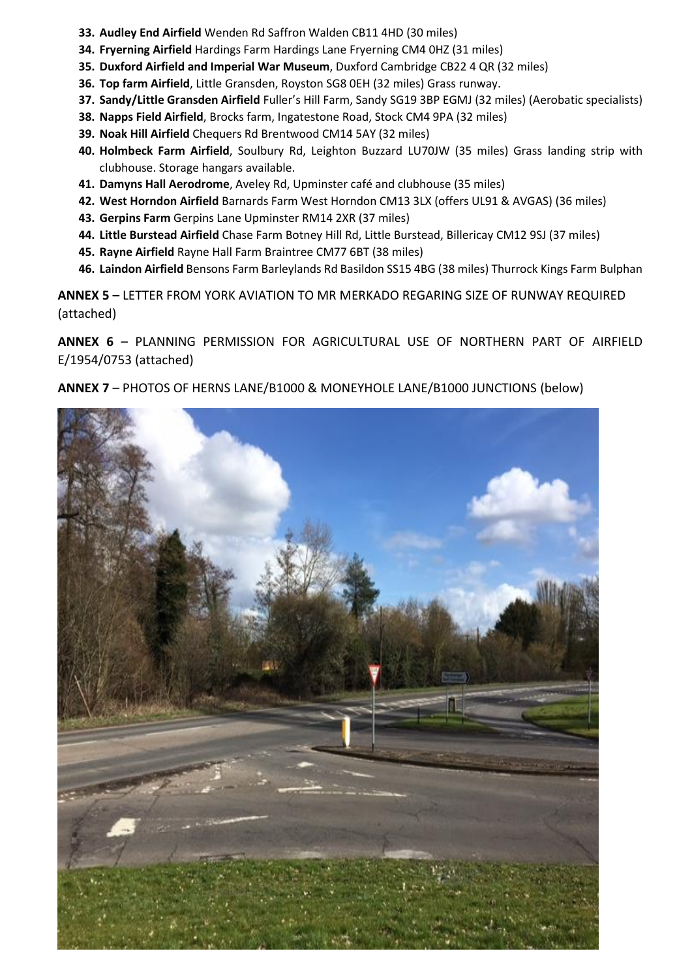- **33. Audley End Airfield** Wenden Rd Saffron Walden CB11 4HD (30 miles)
- **34. Fryerning Airfield** Hardings Farm Hardings Lane Fryerning CM4 0HZ (31 miles)
- **35. Duxford Airfield and Imperial War Museum**, Duxford Cambridge CB22 4 QR (32 miles)
- **36. Top farm Airfield**, Little Gransden, Royston SG8 0EH (32 miles) Grass runway.
- **37. Sandy/Little Gransden Airfield** Fuller's Hill Farm, Sandy SG19 3BP EGMJ (32 miles) (Aerobatic specialists)
- **38. Napps Field Airfield**, Brocks farm, Ingatestone Road, Stock CM4 9PA (32 miles)
- **39. Noak Hill Airfield** Chequers Rd Brentwood CM14 5AY (32 miles)
- **40. Holmbeck Farm Airfield**, Soulbury Rd, Leighton Buzzard LU70JW (35 miles) Grass landing strip with clubhouse. Storage hangars available.
- **41. Damyns Hall Aerodrome**, Aveley Rd, Upminster café and clubhouse (35 miles)
- **42. West Horndon Airfield** Barnards Farm West Horndon CM13 3LX (offers UL91 & AVGAS) (36 miles)
- **43. Gerpins Farm** Gerpins Lane Upminster RM14 2XR (37 miles)
- **44. Little Burstead Airfield** Chase Farm Botney Hill Rd, Little Burstead, Billericay CM12 9SJ (37 miles)
- **45. Rayne Airfield** Rayne Hall Farm Braintree CM77 6BT (38 miles)
- **46. Laindon Airfield** Bensons Farm Barleylands Rd Basildon SS15 4BG (38 miles) Thurrock Kings Farm Bulphan

**ANNEX 5 –** LETTER FROM YORK AVIATION TO MR MERKADO REGARING SIZE OF RUNWAY REQUIRED (attached)

**ANNEX 6** – PLANNING PERMISSION FOR AGRICULTURAL USE OF NORTHERN PART OF AIRFIELD E/1954/0753 (attached)

**ANNEX 7** – PHOTOS OF HERNS LANE/B1000 & MONEYHOLE LANE/B1000 JUNCTIONS (below)